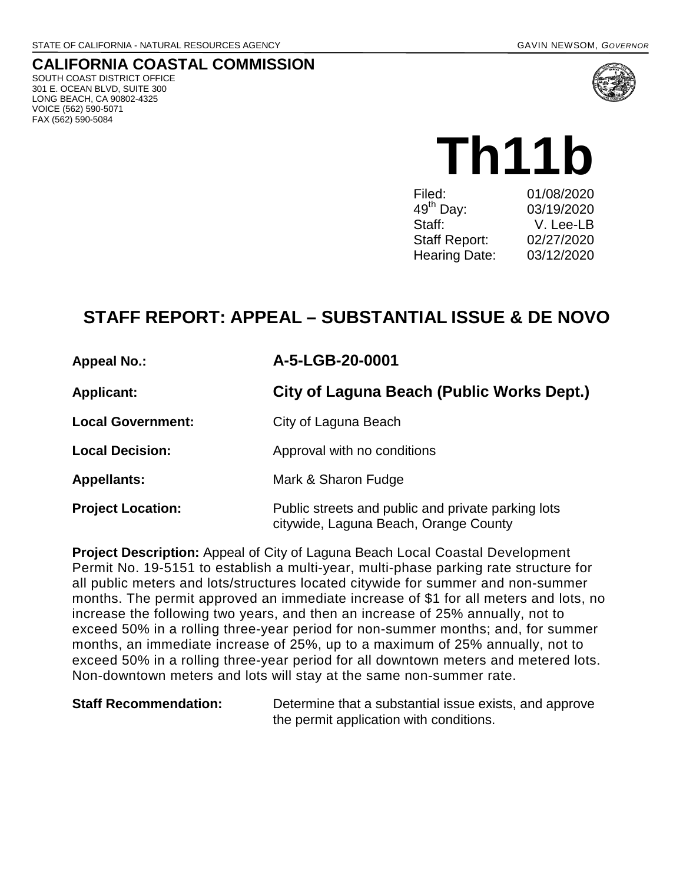# **CALIFORNIA COASTAL COMMISSION**

SOUTH COAST DISTRICT OFFICE 301 E. OCEAN BLVD, SUITE 300 LONG BEACH, CA 90802-4325 VOICE (562) 590-5071 FAX (562) 590-5084



**Th11b** Filed: 01/08/2020<br>49<sup>th</sup> Dav: 03/19/2020 03/19/2020 Staff: V. Lee-LB Staff Report: 02/27/2020 Hearing Date: 03/12/2020

# **STAFF REPORT: APPEAL – SUBSTANTIAL ISSUE & DE NOVO**

| <b>Appeal No.:</b>       | A-5-LGB-20-0001                                                                             |  |
|--------------------------|---------------------------------------------------------------------------------------------|--|
| <b>Applicant:</b>        | City of Laguna Beach (Public Works Dept.)                                                   |  |
| <b>Local Government:</b> | City of Laguna Beach                                                                        |  |
| <b>Local Decision:</b>   | Approval with no conditions                                                                 |  |
| <b>Appellants:</b>       | Mark & Sharon Fudge                                                                         |  |
| <b>Project Location:</b> | Public streets and public and private parking lots<br>citywide, Laguna Beach, Orange County |  |

**Project Description:** Appeal of City of Laguna Beach Local Coastal Development Permit No. 19-5151 to establish a multi-year, multi-phase parking rate structure for all public meters and lots/structures located citywide for summer and non-summer months. The permit approved an immediate increase of \$1 for all meters and lots, no increase the following two years, and then an increase of 25% annually, not to exceed 50% in a rolling three-year period for non-summer months; and, for summer months, an immediate increase of 25%, up to a maximum of 25% annually, not to exceed 50% in a rolling three-year period for all downtown meters and metered lots. Non-downtown meters and lots will stay at the same non-summer rate.

**Staff Recommendation:** Determine that a substantial issue exists, and approve the permit application with conditions.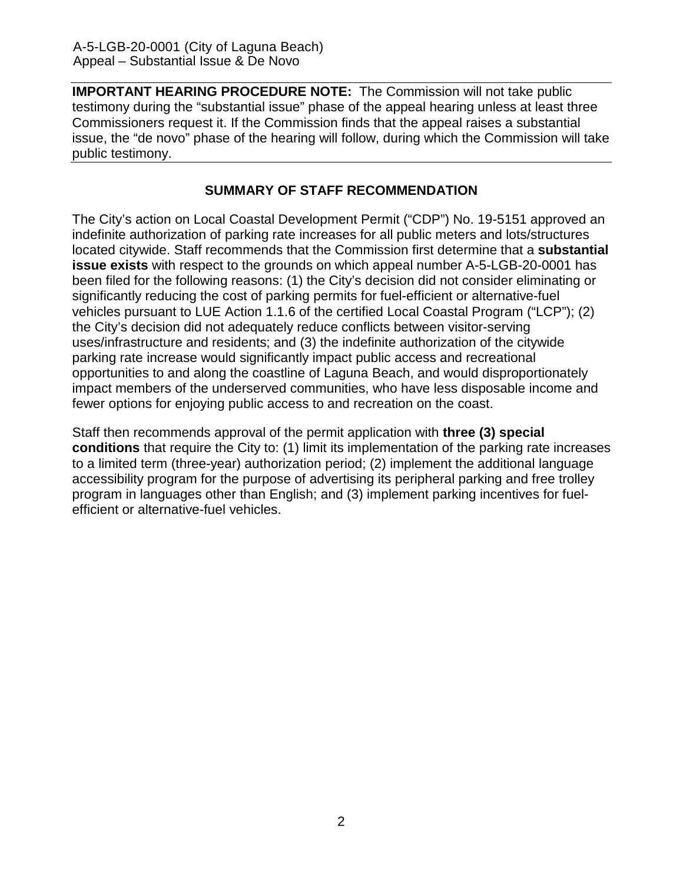**IMPORTANT HEARING PROCEDURE NOTE:** The Commission will not take public testimony during the "substantial issue" phase of the appeal hearing unless at least three Commissioners request it. If the Commission finds that the appeal raises a substantial issue, the "de novo" phase of the hearing will follow, during which the Commission will take public testimony.

#### **SUMMARY OF STAFF RECOMMENDATION**

The City's action on Local Coastal Development Permit ("CDP") No. 19-5151 approved an indefinite authorization of parking rate increases for all public meters and lots/structures located citywide. Staff recommends that the Commission first determine that a **substantial issue exists** with respect to the grounds on which appeal number A-5-LGB-20-0001 has been filed for the following reasons: (1) the City's decision did not consider eliminating or significantly reducing the cost of parking permits for fuel-efficient or alternative-fuel vehicles pursuant to LUE Action 1.1.6 of the certified Local Coastal Program ("LCP"); (2) the City's decision did not adequately reduce conflicts between visitor-serving uses/infrastructure and residents; and (3) the indefinite authorization of the citywide parking rate increase would significantly impact public access and recreational opportunities to and along the coastline of Laguna Beach, and would disproportionately impact members of the underserved communities, who have less disposable income and fewer options for enjoying public access to and recreation on the coast.

Staff then recommends approval of the permit application with **three (3) special conditions** that require the City to: (1) limit its implementation of the parking rate increases to a limited term (three-year) authorization period; (2) implement the additional language accessibility program for the purpose of advertising its peripheral parking and free trolley program in languages other than English; and (3) implement parking incentives for fuelefficient or alternative-fuel vehicles.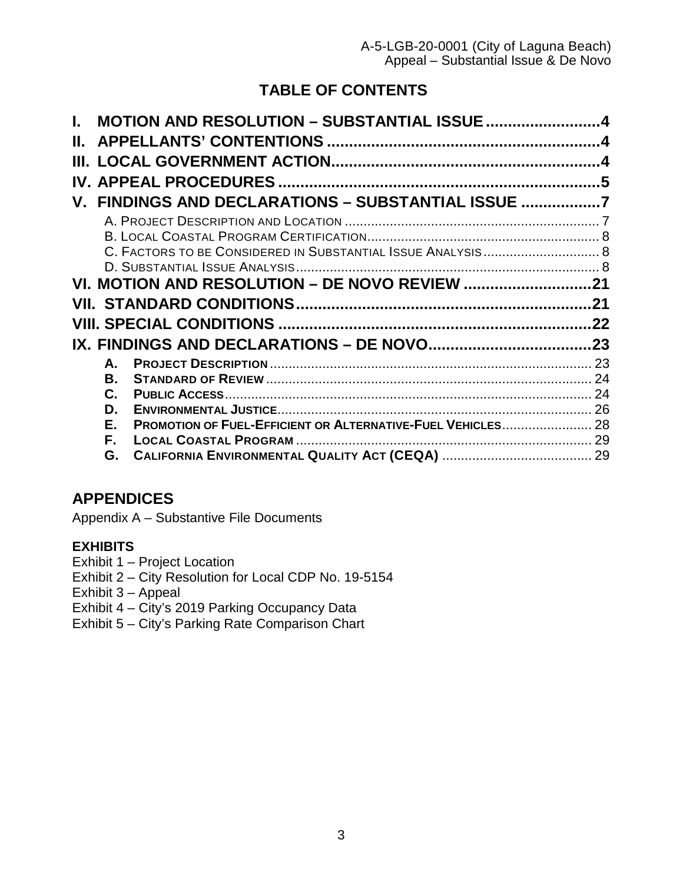# **TABLE OF CONTENTS**

|    | <b>MOTION AND RESOLUTION - SUBSTANTIAL ISSUE 4</b>                |     |
|----|-------------------------------------------------------------------|-----|
| Н. |                                                                   |     |
|    |                                                                   |     |
|    |                                                                   | 5   |
|    | V. FINDINGS AND DECLARATIONS - SUBSTANTIAL ISSUE 7                |     |
|    |                                                                   |     |
|    |                                                                   |     |
|    | C. FACTORS TO BE CONSIDERED IN SUBSTANTIAL ISSUE ANALYSIS 8       |     |
|    |                                                                   |     |
|    |                                                                   |     |
|    |                                                                   |     |
|    |                                                                   | .21 |
|    |                                                                   | 22  |
|    |                                                                   |     |
|    | А.                                                                |     |
|    | В.                                                                |     |
|    | C.                                                                |     |
|    | D.                                                                | 26  |
|    | PROMOTION OF FUEL-EFFICIENT OR ALTERNATIVE-FUEL VEHICLES 28<br>Е. |     |
|    | F.<br>G.                                                          |     |

# **APPENDICES**

Appendix A – Substantive File Documents

## **[EXHIBITS](https://documents.coastal.ca.gov/reports/2017/8/w12a/w12a-8-2017-exhibits.pdf)**

- [Exhibit 1 Project Location](https://documents.coastal.ca.gov/reports/2020/3/th11b/th11b-3-2020-exhibits.pdf)
- Exhibit 2 City [Resolution for Local CDP No. 19-5154](https://documents.coastal.ca.gov/reports/2020/3/th11b/th11b-3-2020-exhibits.pdf)
- [Exhibit 3 Appeal](https://documents.coastal.ca.gov/reports/2020/3/th11b/th11b-3-2020-exhibits.pdf)
- [Exhibit 4 City's 2019 Parking Occupancy Data](https://documents.coastal.ca.gov/reports/2020/3/th11b/th11b-3-2020-exhibits.pdf)
- [Exhibit 5 City's Parking Rate Comparison Chart](https://documents.coastal.ca.gov/reports/2020/3/th11b/th11b-3-2020-exhibits.pdf)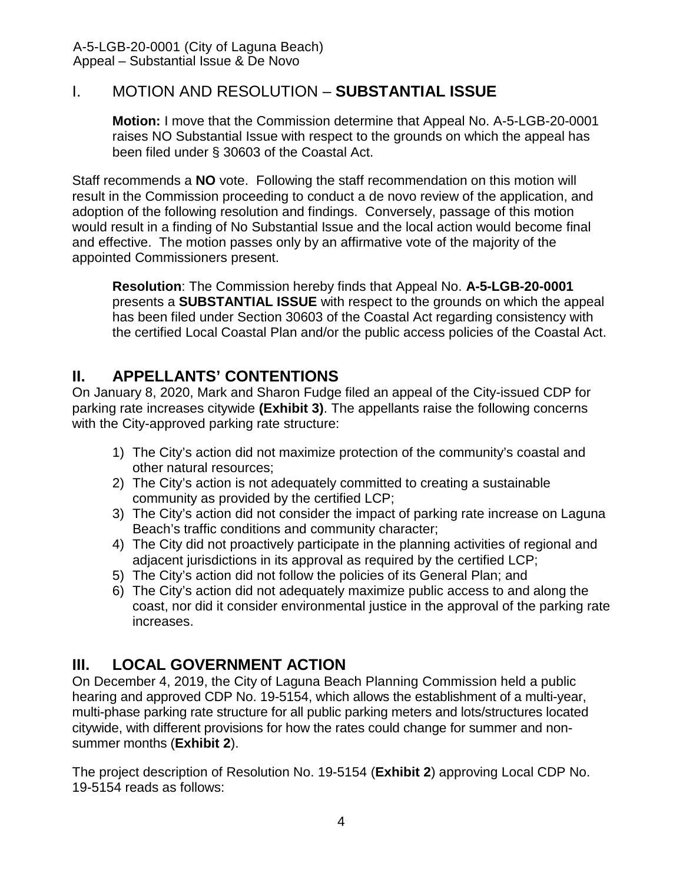# <span id="page-3-0"></span>I. MOTION AND RESOLUTION – **SUBSTANTIAL ISSUE**

**Motion:** I move that the Commission determine that Appeal No. A-5-LGB-20-0001 raises NO Substantial Issue with respect to the grounds on which the appeal has been filed under § 30603 of the Coastal Act.

Staff recommends a **NO** vote. Following the staff recommendation on this motion will result in the Commission proceeding to conduct a de novo review of the application, and adoption of the following resolution and findings. Conversely, passage of this motion would result in a finding of No Substantial Issue and the local action would become final and effective. The motion passes only by an affirmative vote of the majority of the appointed Commissioners present.

**Resolution**: The Commission hereby finds that Appeal No. **A-5-LGB-20-0001** presents a **SUBSTANTIAL ISSUE** with respect to the grounds on which the appeal has been filed under Section 30603 of the Coastal Act regarding consistency with the certified Local Coastal Plan and/or the public access policies of the Coastal Act.

# <span id="page-3-1"></span>**II. APPELLANTS' CONTENTIONS**

On January 8, 2020, Mark and Sharon Fudge filed an appeal of the City-issued CDP for parking rate increases citywide **[\(Exhibit 3\)](https://documents.coastal.ca.gov/reports/2020/3/th11b/th11b-3-2020-exhibits.pdf)**. The appellants raise the following concerns with the City-approved parking rate structure:

- 1) The City's action did not maximize protection of the community's coastal and other natural resources;
- 2) The City's action is not adequately committed to creating a sustainable community as provided by the certified LCP;
- 3) The City's action did not consider the impact of parking rate increase on Laguna Beach's traffic conditions and community character;
- 4) The City did not proactively participate in the planning activities of regional and adjacent jurisdictions in its approval as required by the certified LCP;
- 5) The City's action did not follow the policies of its General Plan; and
- 6) The City's action did not adequately maximize public access to and along the coast, nor did it consider environmental justice in the approval of the parking rate increases.

# <span id="page-3-2"></span>**III. LOCAL GOVERNMENT ACTION**

On December 4, 2019, the City of Laguna Beach Planning Commission held a public hearing and approved CDP No. 19-5154, which allows the establishment of a multi-year, multi-phase parking rate structure for all public parking meters and lots/structures located citywide, with different provisions for how the rates could change for summer and nonsummer months (**[Exhibit 2](https://documents.coastal.ca.gov/reports/2020/3/th11b/th11b-3-2020-exhibits.pdf)**).

The project description of Resolution No. 19-5154 (**[Exhibit 2](https://documents.coastal.ca.gov/reports/2020/3/th11b/th11b-3-2020-exhibits.pdf)**) approving Local CDP No. 19-5154 reads as follows: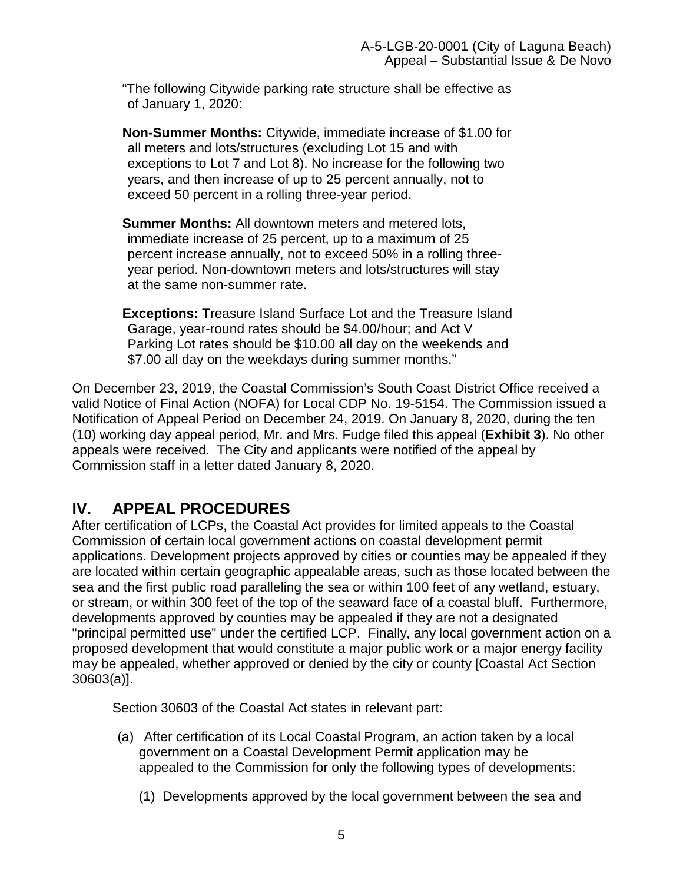"The following Citywide parking rate structure shall be effective as of January 1, 2020:

**Non-Summer Months:** Citywide, immediate increase of \$1.00 for all meters and lots/structures (excluding Lot 15 and with exceptions to Lot 7 and Lot 8). No increase for the following two years, and then increase of up to 25 percent annually, not to exceed 50 percent in a rolling three-year period.

**Summer Months:** All downtown meters and metered lots, immediate increase of 25 percent, up to a maximum of 25 percent increase annually, not to exceed 50% in a rolling threeyear period. Non-downtown meters and lots/structures will stay at the same non-summer rate.

**Exceptions:** Treasure Island Surface Lot and the Treasure Island Garage, year-round rates should be \$4.00/hour; and Act V Parking Lot rates should be \$10.00 all day on the weekends and \$7.00 all day on the weekdays during summer months."

On December 23, 2019, the Coastal Commission's South Coast District Office received a valid Notice of Final Action (NOFA) for Local CDP No. 19-5154. The Commission issued a Notification of Appeal Period on December 24, 2019. On January 8, 2020, during the ten (10) working day appeal period, Mr. and Mrs. Fudge filed this appeal (**[Exhibit 3](https://documents.coastal.ca.gov/reports/2020/3/th11b/th11b-3-2020-exhibits.pdf)**). No other appeals were received. The City and applicants were notified of the appeal by Commission staff in a letter dated January 8, 2020.

# <span id="page-4-0"></span>**IV. APPEAL PROCEDURES**

After certification of LCPs, the Coastal Act provides for limited appeals to the Coastal Commission of certain local government actions on coastal development permit applications. Development projects approved by cities or counties may be appealed if they are located within certain geographic appealable areas, such as those located between the sea and the first public road paralleling the sea or within 100 feet of any wetland, estuary, or stream, or within 300 feet of the top of the seaward face of a coastal bluff. Furthermore, developments approved by counties may be appealed if they are not a designated "principal permitted use" under the certified LCP. Finally, any local government action on a proposed development that would constitute a major public work or a major energy facility may be appealed, whether approved or denied by the city or county [Coastal Act Section 30603(a)].

Section 30603 of the Coastal Act states in relevant part:

- (a) After certification of its Local Coastal Program, an action taken by a local government on a Coastal Development Permit application may be appealed to the Commission for only the following types of developments:
	- (1) Developments approved by the local government between the sea and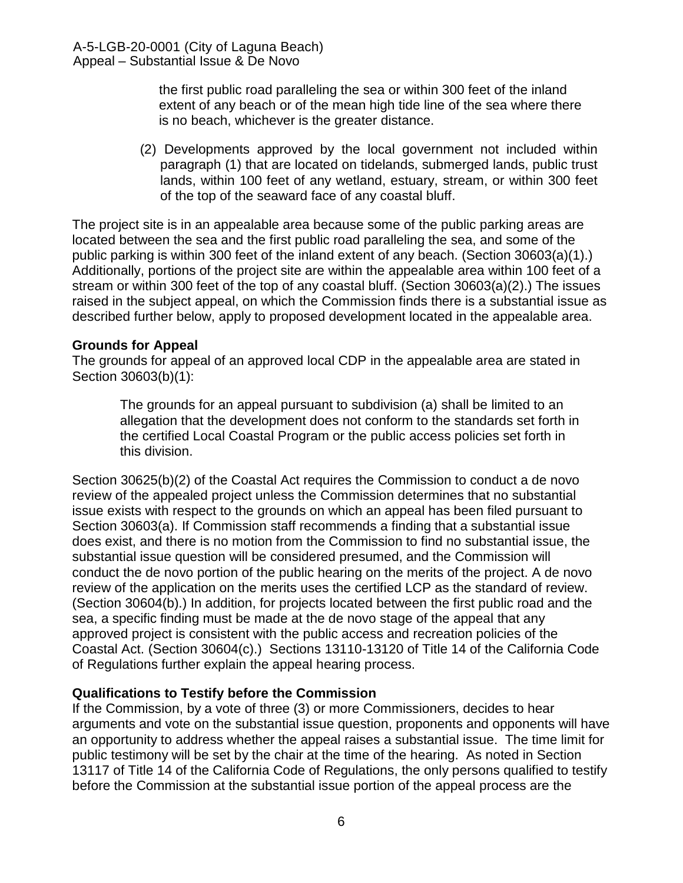the first public road paralleling the sea or within 300 feet of the inland extent of any beach or of the mean high tide line of the sea where there is no beach, whichever is the greater distance.

(2) Developments approved by the local government not included within paragraph (1) that are located on tidelands, submerged lands, public trust lands, within 100 feet of any wetland, estuary, stream, or within 300 feet of the top of the seaward face of any coastal bluff.

The project site is in an appealable area because some of the public parking areas are located between the sea and the first public road paralleling the sea, and some of the public parking is within 300 feet of the inland extent of any beach. (Section 30603(a)(1).) Additionally, portions of the project site are within the appealable area within 100 feet of a stream or within 300 feet of the top of any coastal bluff. (Section 30603(a)(2).) The issues raised in the subject appeal, on which the Commission finds there is a substantial issue as described further below, apply to proposed development located in the appealable area.

#### **Grounds for Appeal**

The grounds for appeal of an approved local CDP in the appealable area are stated in Section 30603(b)(1):

The grounds for an appeal pursuant to subdivision (a) shall be limited to an allegation that the development does not conform to the standards set forth in the certified Local Coastal Program or the public access policies set forth in this division.

Section 30625(b)(2) of the Coastal Act requires the Commission to conduct a de novo review of the appealed project unless the Commission determines that no substantial issue exists with respect to the grounds on which an appeal has been filed pursuant to Section 30603(a). If Commission staff recommends a finding that a substantial issue does exist, and there is no motion from the Commission to find no substantial issue, the substantial issue question will be considered presumed, and the Commission will conduct the de novo portion of the public hearing on the merits of the project. A de novo review of the application on the merits uses the certified LCP as the standard of review. (Section 30604(b).) In addition, for projects located between the first public road and the sea, a specific finding must be made at the de novo stage of the appeal that any approved project is consistent with the public access and recreation policies of the Coastal Act. (Section 30604(c).) Sections 13110-13120 of Title 14 of the California Code of Regulations further explain the appeal hearing process.

#### **Qualifications to Testify before the Commission**

If the Commission, by a vote of three (3) or more Commissioners, decides to hear arguments and vote on the substantial issue question, proponents and opponents will have an opportunity to address whether the appeal raises a substantial issue. The time limit for public testimony will be set by the chair at the time of the hearing. As noted in Section 13117 of Title 14 of the California Code of Regulations, the only persons qualified to testify before the Commission at the substantial issue portion of the appeal process are the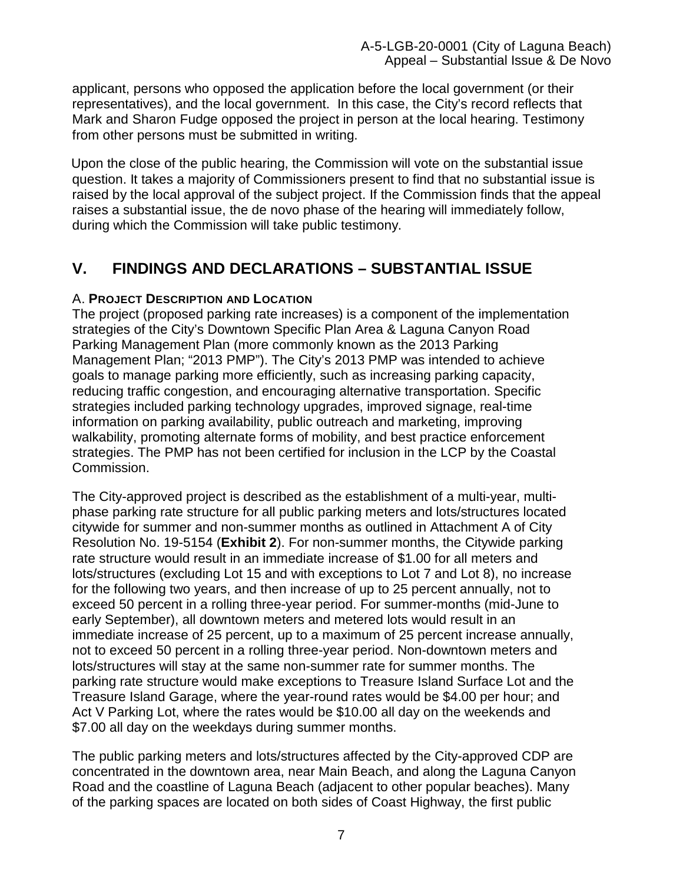applicant, persons who opposed the application before the local government (or their representatives), and the local government. In this case, the City's record reflects that Mark and Sharon Fudge opposed the project in person at the local hearing. Testimony from other persons must be submitted in writing.

Upon the close of the public hearing, the Commission will vote on the substantial issue question. It takes a majority of Commissioners present to find that no substantial issue is raised by the local approval of the subject project. If the Commission finds that the appeal raises a substantial issue, the de novo phase of the hearing will immediately follow, during which the Commission will take public testimony.

# <span id="page-6-0"></span>**V. FINDINGS AND DECLARATIONS – SUBSTANTIAL ISSUE**

# <span id="page-6-1"></span>A. **PROJECT DESCRIPTION AND LOCATION**

The project (proposed parking rate increases) is a component of the implementation strategies of the City's Downtown Specific Plan Area & Laguna Canyon Road Parking Management Plan (more commonly known as the 2013 Parking Management Plan; "2013 PMP"). The City's 2013 PMP was intended to achieve goals to manage parking more efficiently, such as increasing parking capacity, reducing traffic congestion, and encouraging alternative transportation. Specific strategies included parking technology upgrades, improved signage, real-time information on parking availability, public outreach and marketing, improving walkability, promoting alternate forms of mobility, and best practice enforcement strategies. The PMP has not been certified for inclusion in the LCP by the Coastal Commission.

The City-approved project is described as the establishment of a multi-year, multiphase parking rate structure for all public parking meters and lots/structures located citywide for summer and non-summer months as outlined in Attachment A of City Resolution No. 19-5154 (**[Exhibit 2](https://documents.coastal.ca.gov/reports/2020/3/th11b/th11b-3-2020-exhibits.pdf)**). For non-summer months, the Citywide parking rate structure would result in an immediate increase of \$1.00 for all meters and lots/structures (excluding Lot 15 and with exceptions to Lot 7 and Lot 8), no increase for the following two years, and then increase of up to 25 percent annually, not to exceed 50 percent in a rolling three-year period. For summer-months (mid-June to early September), all downtown meters and metered lots would result in an immediate increase of 25 percent, up to a maximum of 25 percent increase annually, not to exceed 50 percent in a rolling three-year period. Non-downtown meters and lots/structures will stay at the same non-summer rate for summer months. The parking rate structure would make exceptions to Treasure Island Surface Lot and the Treasure Island Garage, where the year-round rates would be \$4.00 per hour; and Act V Parking Lot, where the rates would be \$10.00 all day on the weekends and \$7.00 all day on the weekdays during summer months.

The public parking meters and lots/structures affected by the City-approved CDP are concentrated in the downtown area, near Main Beach, and along the Laguna Canyon Road and the coastline of Laguna Beach (adjacent to other popular beaches). Many of the parking spaces are located on both sides of Coast Highway, the first public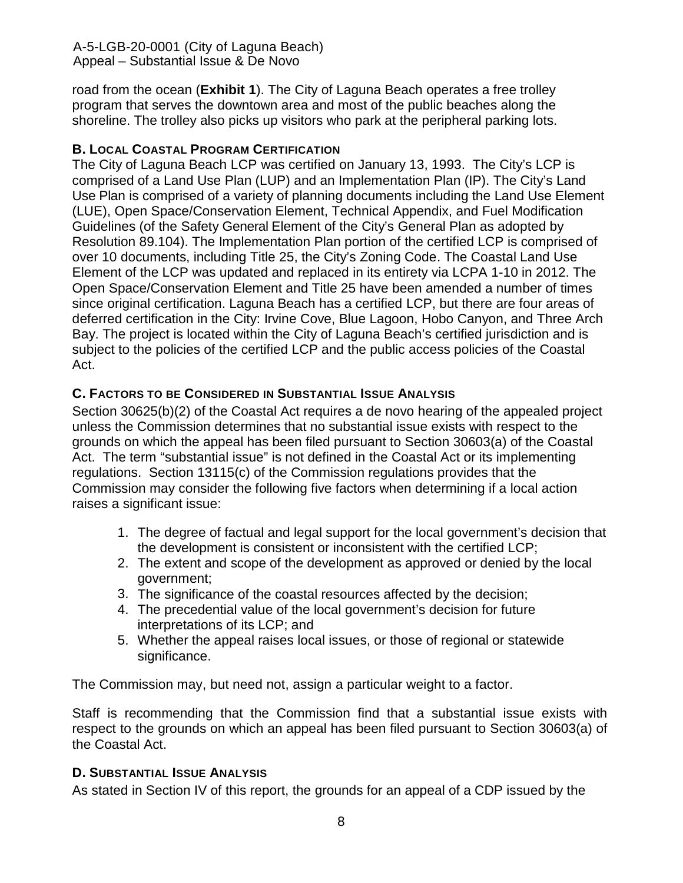road from the ocean (**[Exhibit 1](https://documents.coastal.ca.gov/reports/2020/3/th11b/th11b-3-2020-exhibits.pdf)**). The City of Laguna Beach operates a free trolley program that serves the downtown area and most of the public beaches along the shoreline. The trolley also picks up visitors who park at the peripheral parking lots.

## <span id="page-7-0"></span>**B. LOCAL COASTAL PROGRAM CERTIFICATION**

The City of Laguna Beach LCP was certified on January 13, 1993. The City's LCP is comprised of a Land Use Plan (LUP) and an Implementation Plan (IP). The City's Land Use Plan is comprised of a variety of planning documents including the Land Use Element (LUE), Open Space/Conservation Element, Technical Appendix, and Fuel Modification Guidelines (of the Safety General Element of the City's General Plan as adopted by Resolution 89.104). The Implementation Plan portion of the certified LCP is comprised of over 10 documents, including Title 25, the City's Zoning Code. The Coastal Land Use Element of the LCP was updated and replaced in its entirety via LCPA 1-10 in 2012. The Open Space/Conservation Element and Title 25 have been amended a number of times since original certification. Laguna Beach has a certified LCP, but there are four areas of deferred certification in the City: Irvine Cove, Blue Lagoon, Hobo Canyon, and Three Arch Bay. The project is located within the City of Laguna Beach's certified jurisdiction and is subject to the policies of the certified LCP and the public access policies of the Coastal Act.

## <span id="page-7-1"></span>**C. FACTORS TO BE CONSIDERED IN SUBSTANTIAL ISSUE ANALYSIS**

Section 30625(b)(2) of the Coastal Act requires a de novo hearing of the appealed project unless the Commission determines that no substantial issue exists with respect to the grounds on which the appeal has been filed pursuant to Section 30603(a) of the Coastal Act. The term "substantial issue" is not defined in the Coastal Act or its implementing regulations. Section 13115(c) of the Commission regulations provides that the Commission may consider the following five factors when determining if a local action raises a significant issue:

- 1. The degree of factual and legal support for the local government's decision that the development is consistent or inconsistent with the certified LCP;
- 2. The extent and scope of the development as approved or denied by the local government;
- 3. The significance of the coastal resources affected by the decision;
- 4. The precedential value of the local government's decision for future interpretations of its LCP; and
- 5. Whether the appeal raises local issues, or those of regional or statewide significance.

The Commission may, but need not, assign a particular weight to a factor.

Staff is recommending that the Commission find that a substantial issue exists with respect to the grounds on which an appeal has been filed pursuant to Section 30603(a) of the Coastal Act.

#### <span id="page-7-2"></span>**D. SUBSTANTIAL ISSUE ANALYSIS**

As stated in Section IV of this report, the grounds for an appeal of a CDP issued by the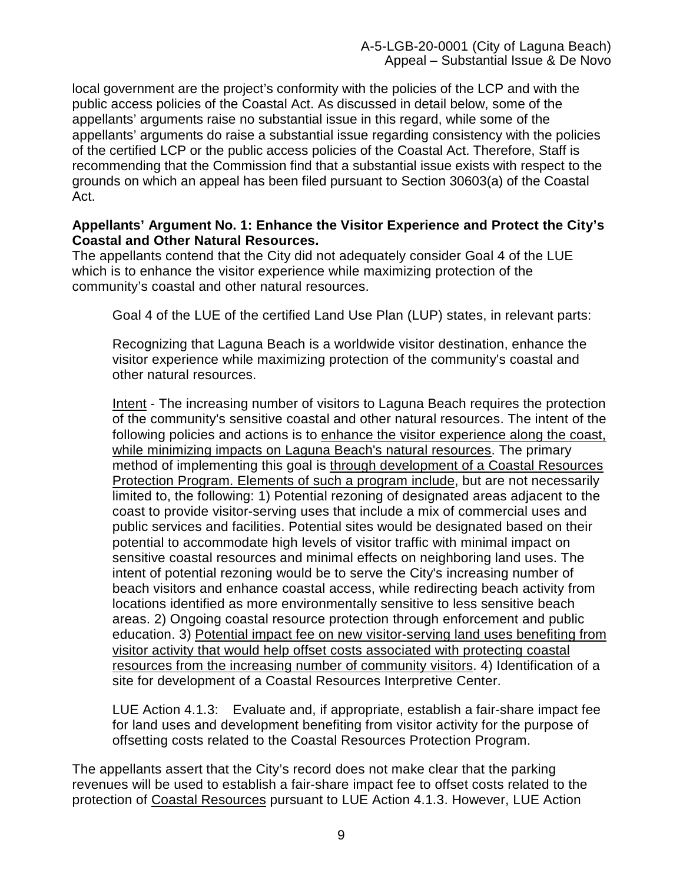local government are the project's conformity with the policies of the LCP and with the public access policies of the Coastal Act. As discussed in detail below, some of the appellants' arguments raise no substantial issue in this regard, while some of the appellants' arguments do raise a substantial issue regarding consistency with the policies of the certified LCP or the public access policies of the Coastal Act. Therefore, Staff is recommending that the Commission find that a substantial issue exists with respect to the grounds on which an appeal has been filed pursuant to Section 30603(a) of the Coastal Act.

#### **Appellants' Argument No. 1: Enhance the Visitor Experience and Protect the City's Coastal and Other Natural Resources.**

The appellants contend that the City did not adequately consider Goal 4 of the LUE which is to enhance the visitor experience while maximizing protection of the community's coastal and other natural resources.

Goal 4 of the LUE of the certified Land Use Plan (LUP) states, in relevant parts:

Recognizing that Laguna Beach is a worldwide visitor destination, enhance the visitor experience while maximizing protection of the community's coastal and other natural resources.

Intent - The increasing number of visitors to Laguna Beach requires the protection of the community's sensitive coastal and other natural resources. The intent of the following policies and actions is to enhance the visitor experience along the coast, while minimizing impacts on Laguna Beach's natural resources. The primary method of implementing this goal is through development of a Coastal Resources Protection Program. Elements of such a program include, but are not necessarily limited to, the following: 1) Potential rezoning of designated areas adjacent to the coast to provide visitor-serving uses that include a mix of commercial uses and public services and facilities. Potential sites would be designated based on their potential to accommodate high levels of visitor traffic with minimal impact on sensitive coastal resources and minimal effects on neighboring land uses. The intent of potential rezoning would be to serve the City's increasing number of beach visitors and enhance coastal access, while redirecting beach activity from locations identified as more environmentally sensitive to less sensitive beach areas. 2) Ongoing coastal resource protection through enforcement and public education. 3) Potential impact fee on new visitor-serving land uses benefiting from visitor activity that would help offset costs associated with protecting coastal resources from the increasing number of community visitors. 4) Identification of a site for development of a Coastal Resources Interpretive Center.

LUE Action 4.1.3: Evaluate and, if appropriate, establish a fair-share impact fee for land uses and development benefiting from visitor activity for the purpose of offsetting costs related to the Coastal Resources Protection Program.

The appellants assert that the City's record does not make clear that the parking revenues will be used to establish a fair-share impact fee to offset costs related to the protection of Coastal Resources pursuant to LUE Action 4.1.3. However, LUE Action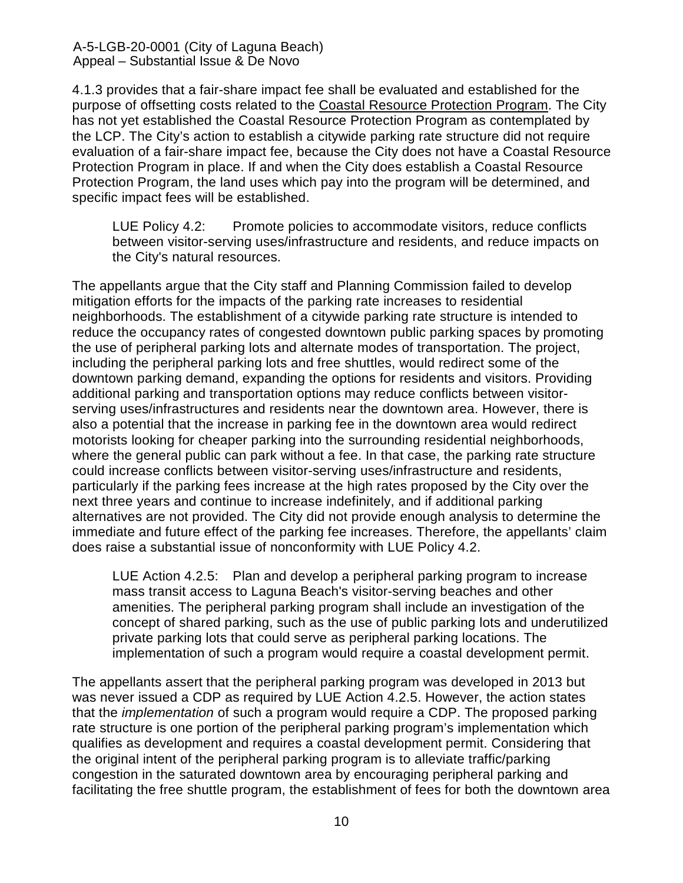4.1.3 provides that a fair-share impact fee shall be evaluated and established for the purpose of offsetting costs related to the Coastal Resource Protection Program. The City has not yet established the Coastal Resource Protection Program as contemplated by the LCP. The City's action to establish a citywide parking rate structure did not require evaluation of a fair-share impact fee, because the City does not have a Coastal Resource Protection Program in place. If and when the City does establish a Coastal Resource Protection Program, the land uses which pay into the program will be determined, and specific impact fees will be established.

LUE Policy 4.2: Promote policies to accommodate visitors, reduce conflicts between visitor-serving uses/infrastructure and residents, and reduce impacts on the City's natural resources.

The appellants argue that the City staff and Planning Commission failed to develop mitigation efforts for the impacts of the parking rate increases to residential neighborhoods. The establishment of a citywide parking rate structure is intended to reduce the occupancy rates of congested downtown public parking spaces by promoting the use of peripheral parking lots and alternate modes of transportation. The project, including the peripheral parking lots and free shuttles, would redirect some of the downtown parking demand, expanding the options for residents and visitors. Providing additional parking and transportation options may reduce conflicts between visitorserving uses/infrastructures and residents near the downtown area. However, there is also a potential that the increase in parking fee in the downtown area would redirect motorists looking for cheaper parking into the surrounding residential neighborhoods, where the general public can park without a fee. In that case, the parking rate structure could increase conflicts between visitor-serving uses/infrastructure and residents, particularly if the parking fees increase at the high rates proposed by the City over the next three years and continue to increase indefinitely, and if additional parking alternatives are not provided. The City did not provide enough analysis to determine the immediate and future effect of the parking fee increases. Therefore, the appellants' claim does raise a substantial issue of nonconformity with LUE Policy 4.2.

LUE Action 4.2.5: Plan and develop a peripheral parking program to increase mass transit access to Laguna Beach's visitor-serving beaches and other amenities. The peripheral parking program shall include an investigation of the concept of shared parking, such as the use of public parking lots and underutilized private parking lots that could serve as peripheral parking locations. The implementation of such a program would require a coastal development permit.

The appellants assert that the peripheral parking program was developed in 2013 but was never issued a CDP as required by LUE Action 4.2.5. However, the action states that the *implementation* of such a program would require a CDP. The proposed parking rate structure is one portion of the peripheral parking program's implementation which qualifies as development and requires a coastal development permit. Considering that the original intent of the peripheral parking program is to alleviate traffic/parking congestion in the saturated downtown area by encouraging peripheral parking and facilitating the free shuttle program, the establishment of fees for both the downtown area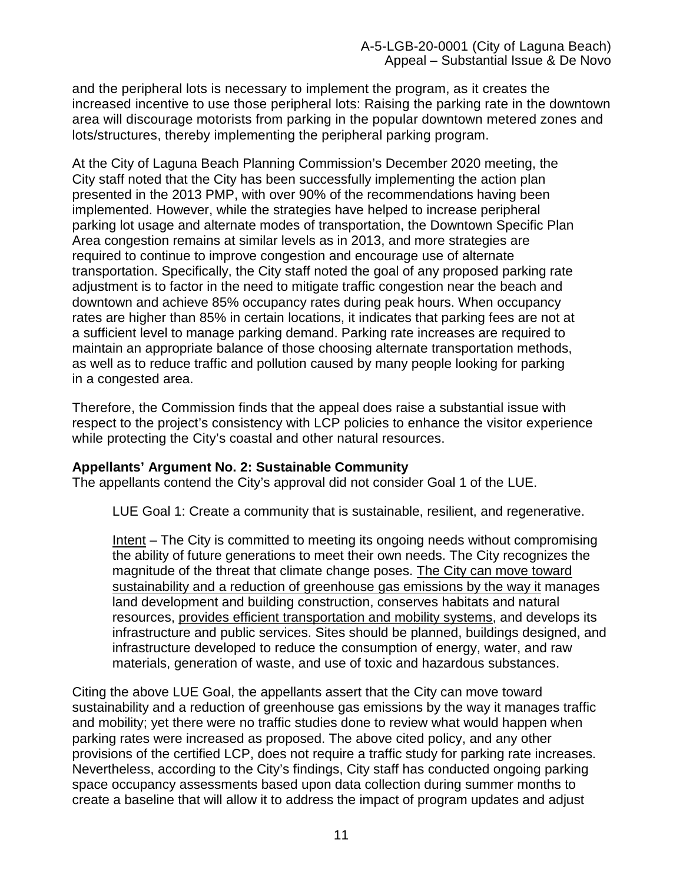and the peripheral lots is necessary to implement the program, as it creates the increased incentive to use those peripheral lots: Raising the parking rate in the downtown area will discourage motorists from parking in the popular downtown metered zones and lots/structures, thereby implementing the peripheral parking program.

At the City of Laguna Beach Planning Commission's December 2020 meeting, the City staff noted that the City has been successfully implementing the action plan presented in the 2013 PMP, with over 90% of the recommendations having been implemented. However, while the strategies have helped to increase peripheral parking lot usage and alternate modes of transportation, the Downtown Specific Plan Area congestion remains at similar levels as in 2013, and more strategies are required to continue to improve congestion and encourage use of alternate transportation. Specifically, the City staff noted the goal of any proposed parking rate adjustment is to factor in the need to mitigate traffic congestion near the beach and downtown and achieve 85% occupancy rates during peak hours. When occupancy rates are higher than 85% in certain locations, it indicates that parking fees are not at a sufficient level to manage parking demand. Parking rate increases are required to maintain an appropriate balance of those choosing alternate transportation methods, as well as to reduce traffic and pollution caused by many people looking for parking in a congested area.

Therefore, the Commission finds that the appeal does raise a substantial issue with respect to the project's consistency with LCP policies to enhance the visitor experience while protecting the City's coastal and other natural resources.

#### **Appellants' Argument No. 2: Sustainable Community**

The appellants contend the City's approval did not consider Goal 1 of the LUE.

LUE Goal 1: Create a community that is sustainable, resilient, and regenerative.

Intent – The City is committed to meeting its ongoing needs without compromising the ability of future generations to meet their own needs. The City recognizes the magnitude of the threat that climate change poses. The City can move toward sustainability and a reduction of greenhouse gas emissions by the way it manages land development and building construction, conserves habitats and natural resources, provides efficient transportation and mobility systems, and develops its infrastructure and public services. Sites should be planned, buildings designed, and infrastructure developed to reduce the consumption of energy, water, and raw materials, generation of waste, and use of toxic and hazardous substances.

Citing the above LUE Goal, the appellants assert that the City can move toward sustainability and a reduction of greenhouse gas emissions by the way it manages traffic and mobility; yet there were no traffic studies done to review what would happen when parking rates were increased as proposed. The above cited policy, and any other provisions of the certified LCP, does not require a traffic study for parking rate increases. Nevertheless, according to the City's findings, City staff has conducted ongoing parking space occupancy assessments based upon data collection during summer months to create a baseline that will allow it to address the impact of program updates and adjust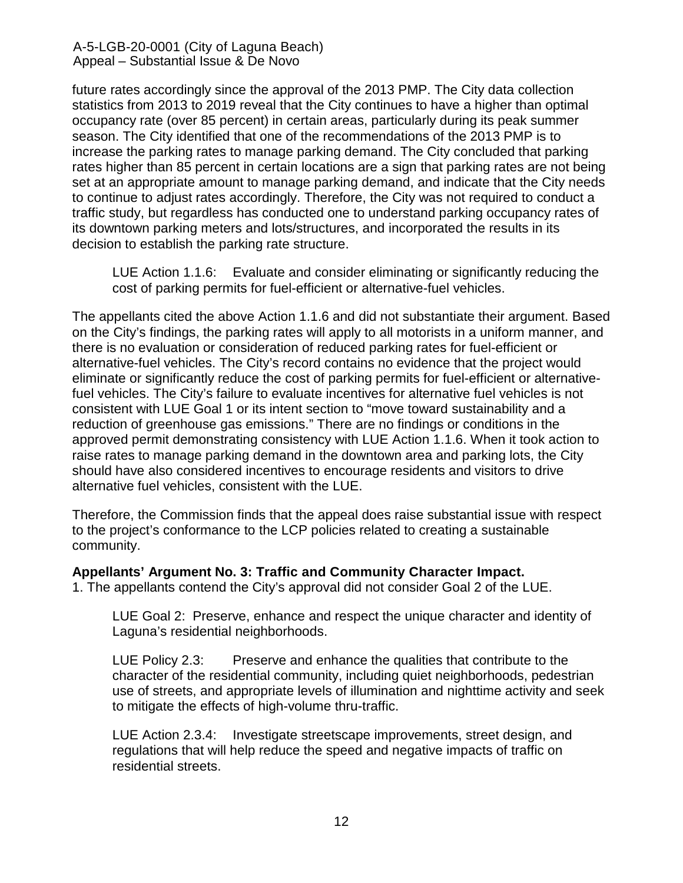future rates accordingly since the approval of the 2013 PMP. The City data collection statistics from 2013 to 2019 reveal that the City continues to have a higher than optimal occupancy rate (over 85 percent) in certain areas, particularly during its peak summer season. The City identified that one of the recommendations of the 2013 PMP is to increase the parking rates to manage parking demand. The City concluded that parking rates higher than 85 percent in certain locations are a sign that parking rates are not being set at an appropriate amount to manage parking demand, and indicate that the City needs to continue to adjust rates accordingly. Therefore, the City was not required to conduct a traffic study, but regardless has conducted one to understand parking occupancy rates of its downtown parking meters and lots/structures, and incorporated the results in its decision to establish the parking rate structure.

LUE Action 1.1.6: Evaluate and consider eliminating or significantly reducing the cost of parking permits for fuel-efficient or alternative-fuel vehicles.

The appellants cited the above Action 1.1.6 and did not substantiate their argument. Based on the City's findings, the parking rates will apply to all motorists in a uniform manner, and there is no evaluation or consideration of reduced parking rates for fuel-efficient or alternative-fuel vehicles. The City's record contains no evidence that the project would eliminate or significantly reduce the cost of parking permits for fuel-efficient or alternativefuel vehicles. The City's failure to evaluate incentives for alternative fuel vehicles is not consistent with LUE Goal 1 or its intent section to "move toward sustainability and a reduction of greenhouse gas emissions." There are no findings or conditions in the approved permit demonstrating consistency with LUE Action 1.1.6. When it took action to raise rates to manage parking demand in the downtown area and parking lots, the City should have also considered incentives to encourage residents and visitors to drive alternative fuel vehicles, consistent with the LUE.

Therefore, the Commission finds that the appeal does raise substantial issue with respect to the project's conformance to the LCP policies related to creating a sustainable community.

**Appellants' Argument No. 3: Traffic and Community Character Impact.** 

1. The appellants contend the City's approval did not consider Goal 2 of the LUE.

LUE Goal 2: Preserve, enhance and respect the unique character and identity of Laguna's residential neighborhoods.

LUE Policy 2.3: Preserve and enhance the qualities that contribute to the character of the residential community, including quiet neighborhoods, pedestrian use of streets, and appropriate levels of illumination and nighttime activity and seek to mitigate the effects of high-volume thru-traffic.

LUE Action 2.3.4: Investigate streetscape improvements, street design, and regulations that will help reduce the speed and negative impacts of traffic on residential streets.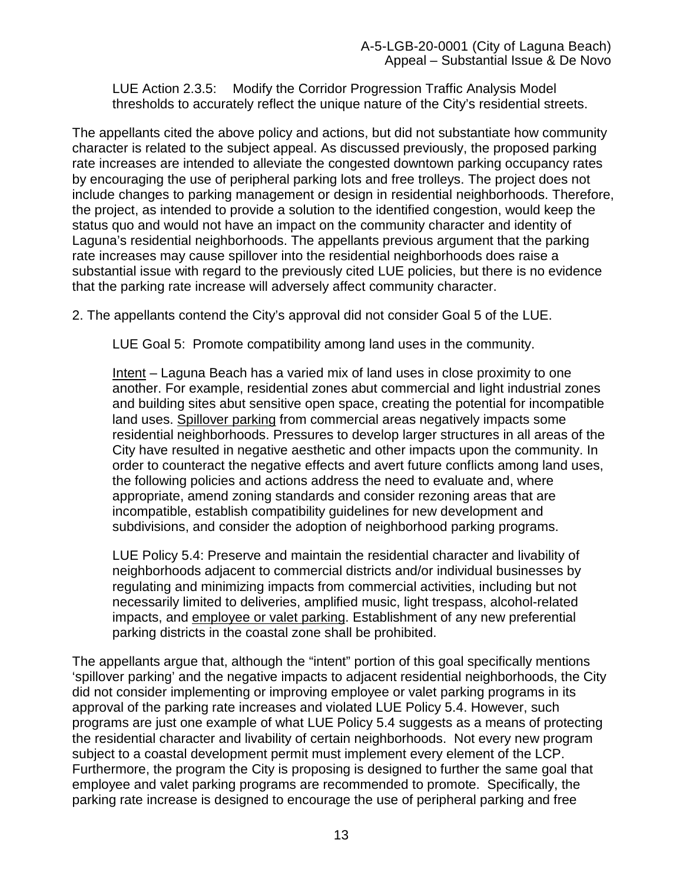LUE Action 2.3.5: Modify the Corridor Progression Traffic Analysis Model thresholds to accurately reflect the unique nature of the City's residential streets.

The appellants cited the above policy and actions, but did not substantiate how community character is related to the subject appeal. As discussed previously, the proposed parking rate increases are intended to alleviate the congested downtown parking occupancy rates by encouraging the use of peripheral parking lots and free trolleys. The project does not include changes to parking management or design in residential neighborhoods. Therefore, the project, as intended to provide a solution to the identified congestion, would keep the status quo and would not have an impact on the community character and identity of Laguna's residential neighborhoods. The appellants previous argument that the parking rate increases may cause spillover into the residential neighborhoods does raise a substantial issue with regard to the previously cited LUE policies, but there is no evidence that the parking rate increase will adversely affect community character.

2. The appellants contend the City's approval did not consider Goal 5 of the LUE.

LUE Goal 5: Promote compatibility among land uses in the community.

Intent – Laguna Beach has a varied mix of land uses in close proximity to one another. For example, residential zones abut commercial and light industrial zones and building sites abut sensitive open space, creating the potential for incompatible land uses. Spillover parking from commercial areas negatively impacts some residential neighborhoods. Pressures to develop larger structures in all areas of the City have resulted in negative aesthetic and other impacts upon the community. In order to counteract the negative effects and avert future conflicts among land uses, the following policies and actions address the need to evaluate and, where appropriate, amend zoning standards and consider rezoning areas that are incompatible, establish compatibility guidelines for new development and subdivisions, and consider the adoption of neighborhood parking programs.

LUE Policy 5.4: Preserve and maintain the residential character and livability of neighborhoods adjacent to commercial districts and/or individual businesses by regulating and minimizing impacts from commercial activities, including but not necessarily limited to deliveries, amplified music, light trespass, alcohol-related impacts, and employee or valet parking. Establishment of any new preferential parking districts in the coastal zone shall be prohibited.

The appellants argue that, although the "intent" portion of this goal specifically mentions 'spillover parking' and the negative impacts to adjacent residential neighborhoods, the City did not consider implementing or improving employee or valet parking programs in its approval of the parking rate increases and violated LUE Policy 5.4. However, such programs are just one example of what LUE Policy 5.4 suggests as a means of protecting the residential character and livability of certain neighborhoods. Not every new program subject to a coastal development permit must implement every element of the LCP. Furthermore, the program the City is proposing is designed to further the same goal that employee and valet parking programs are recommended to promote. Specifically, the parking rate increase is designed to encourage the use of peripheral parking and free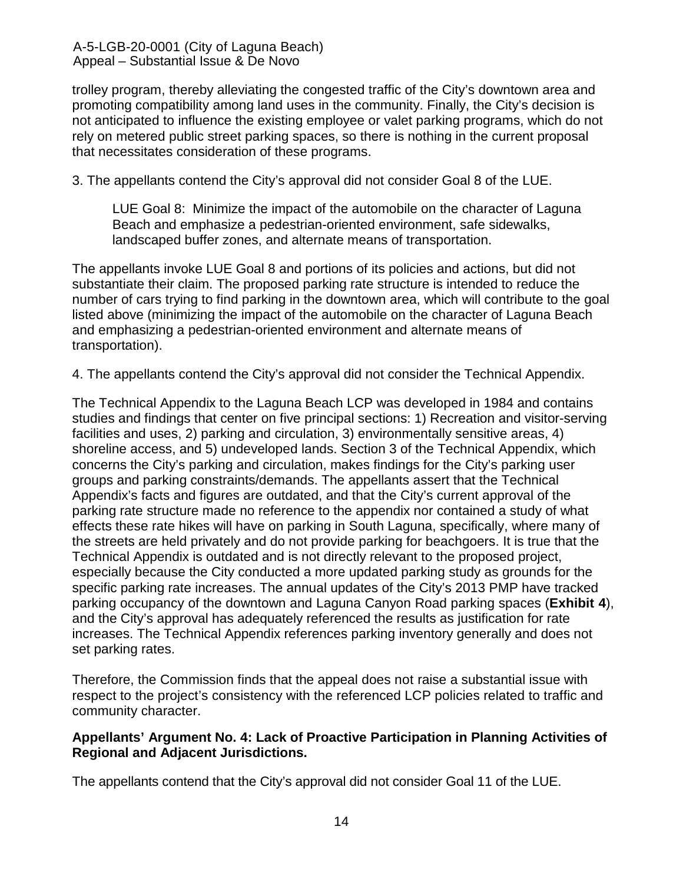trolley program, thereby alleviating the congested traffic of the City's downtown area and promoting compatibility among land uses in the community. Finally, the City's decision is not anticipated to influence the existing employee or valet parking programs, which do not rely on metered public street parking spaces, so there is nothing in the current proposal that necessitates consideration of these programs.

3. The appellants contend the City's approval did not consider Goal 8 of the LUE.

LUE Goal 8: Minimize the impact of the automobile on the character of Laguna Beach and emphasize a pedestrian-oriented environment, safe sidewalks, landscaped buffer zones, and alternate means of transportation.

The appellants invoke LUE Goal 8 and portions of its policies and actions, but did not substantiate their claim. The proposed parking rate structure is intended to reduce the number of cars trying to find parking in the downtown area, which will contribute to the goal listed above (minimizing the impact of the automobile on the character of Laguna Beach and emphasizing a pedestrian-oriented environment and alternate means of transportation).

4. The appellants contend the City's approval did not consider the Technical Appendix.

The Technical Appendix to the Laguna Beach LCP was developed in 1984 and contains studies and findings that center on five principal sections: 1) Recreation and visitor-serving facilities and uses, 2) parking and circulation, 3) environmentally sensitive areas, 4) shoreline access, and 5) undeveloped lands. Section 3 of the Technical Appendix, which concerns the City's parking and circulation, makes findings for the City's parking user groups and parking constraints/demands. The appellants assert that the Technical Appendix's facts and figures are outdated, and that the City's current approval of the parking rate structure made no reference to the appendix nor contained a study of what effects these rate hikes will have on parking in South Laguna, specifically, where many of the streets are held privately and do not provide parking for beachgoers. It is true that the Technical Appendix is outdated and is not directly relevant to the proposed project, especially because the City conducted a more updated parking study as grounds for the specific parking rate increases. The annual updates of the City's 2013 PMP have tracked parking occupancy of the downtown and Laguna Canyon Road parking spaces (**[Exhibit 4](https://documents.coastal.ca.gov/reports/2020/3/th11b/th11b-3-2020-exhibits.pdf)**), and the City's approval has adequately referenced the results as justification for rate increases. The Technical Appendix references parking inventory generally and does not set parking rates.

Therefore, the Commission finds that the appeal does not raise a substantial issue with respect to the project's consistency with the referenced LCP policies related to traffic and community character.

## **Appellants' Argument No. 4: Lack of Proactive Participation in Planning Activities of Regional and Adjacent Jurisdictions.**

The appellants contend that the City's approval did not consider Goal 11 of the LUE.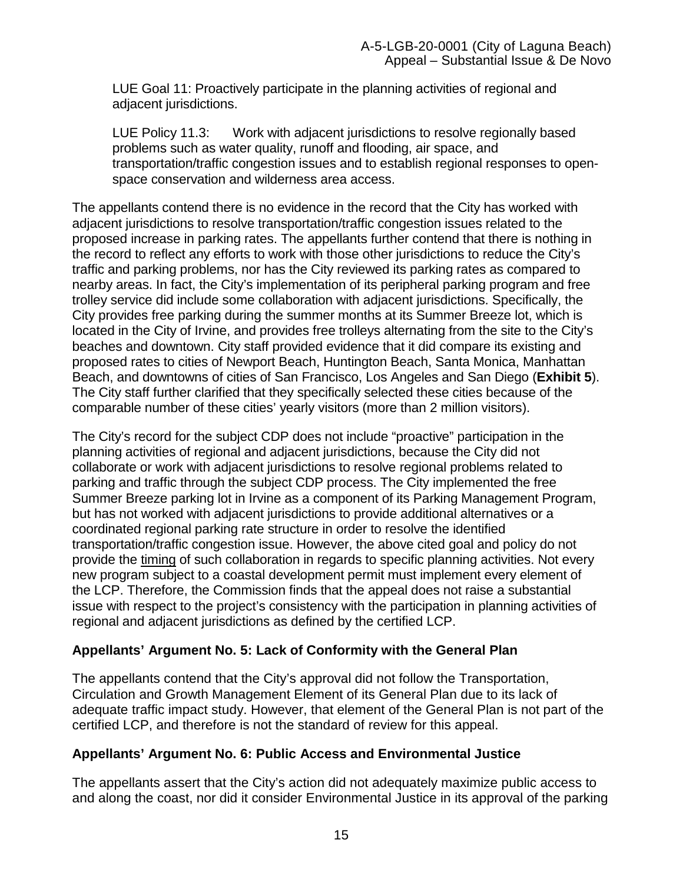LUE Goal 11: Proactively participate in the planning activities of regional and adjacent jurisdictions.

LUE Policy 11.3: Work with adjacent jurisdictions to resolve regionally based problems such as water quality, runoff and flooding, air space, and transportation/traffic congestion issues and to establish regional responses to openspace conservation and wilderness area access.

The appellants contend there is no evidence in the record that the City has worked with adjacent jurisdictions to resolve transportation/traffic congestion issues related to the proposed increase in parking rates. The appellants further contend that there is nothing in the record to reflect any efforts to work with those other jurisdictions to reduce the City's traffic and parking problems, nor has the City reviewed its parking rates as compared to nearby areas. In fact, the City's implementation of its peripheral parking program and free trolley service did include some collaboration with adjacent jurisdictions. Specifically, the City provides free parking during the summer months at its Summer Breeze lot, which is located in the City of Irvine, and provides free trolleys alternating from the site to the City's beaches and downtown. City staff provided evidence that it did compare its existing and proposed rates to cities of Newport Beach, Huntington Beach, Santa Monica, Manhattan Beach, and downtowns of cities of San Francisco, Los Angeles and San Diego (**[Exhibit 5](https://documents.coastal.ca.gov/reports/2020/3/th11b/th11b-3-2020-exhibits.pdf)**). The City staff further clarified that they specifically selected these cities because of the comparable number of these cities' yearly visitors (more than 2 million visitors).

The City's record for the subject CDP does not include "proactive" participation in the planning activities of regional and adjacent jurisdictions, because the City did not collaborate or work with adjacent jurisdictions to resolve regional problems related to parking and traffic through the subject CDP process. The City implemented the free Summer Breeze parking lot in Irvine as a component of its Parking Management Program, but has not worked with adjacent jurisdictions to provide additional alternatives or a coordinated regional parking rate structure in order to resolve the identified transportation/traffic congestion issue. However, the above cited goal and policy do not provide the timing of such collaboration in regards to specific planning activities. Not every new program subject to a coastal development permit must implement every element of the LCP. Therefore, the Commission finds that the appeal does not raise a substantial issue with respect to the project's consistency with the participation in planning activities of regional and adjacent jurisdictions as defined by the certified LCP.

# **Appellants' Argument No. 5: Lack of Conformity with the General Plan**

The appellants contend that the City's approval did not follow the Transportation, Circulation and Growth Management Element of its General Plan due to its lack of adequate traffic impact study. However, that element of the General Plan is not part of the certified LCP, and therefore is not the standard of review for this appeal.

## **Appellants' Argument No. 6: Public Access and Environmental Justice**

The appellants assert that the City's action did not adequately maximize public access to and along the coast, nor did it consider Environmental Justice in its approval of the parking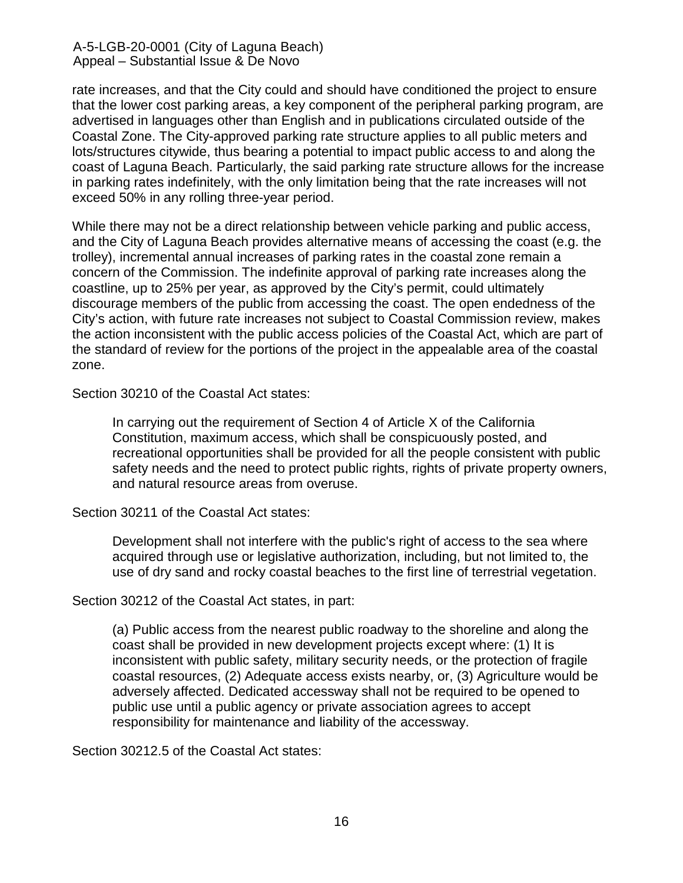rate increases, and that the City could and should have conditioned the project to ensure that the lower cost parking areas, a key component of the peripheral parking program, are advertised in languages other than English and in publications circulated outside of the Coastal Zone. The City-approved parking rate structure applies to all public meters and lots/structures citywide, thus bearing a potential to impact public access to and along the coast of Laguna Beach. Particularly, the said parking rate structure allows for the increase in parking rates indefinitely, with the only limitation being that the rate increases will not exceed 50% in any rolling three-year period.

While there may not be a direct relationship between vehicle parking and public access, and the City of Laguna Beach provides alternative means of accessing the coast (e.g. the trolley), incremental annual increases of parking rates in the coastal zone remain a concern of the Commission. The indefinite approval of parking rate increases along the coastline, up to 25% per year, as approved by the City's permit, could ultimately discourage members of the public from accessing the coast. The open endedness of the City's action, with future rate increases not subject to Coastal Commission review, makes the action inconsistent with the public access policies of the Coastal Act, which are part of the standard of review for the portions of the project in the appealable area of the coastal zone.

Section 30210 of the Coastal Act states:

In carrying out the requirement of Section 4 of Article X of the California Constitution, maximum access, which shall be conspicuously posted, and recreational opportunities shall be provided for all the people consistent with public safety needs and the need to protect public rights, rights of private property owners, and natural resource areas from overuse.

Section 30211 of the Coastal Act states:

Development shall not interfere with the public's right of access to the sea where acquired through use or legislative authorization, including, but not limited to, the use of dry sand and rocky coastal beaches to the first line of terrestrial vegetation.

Section 30212 of the Coastal Act states, in part:

(a) Public access from the nearest public roadway to the shoreline and along the coast shall be provided in new development projects except where: (1) It is inconsistent with public safety, military security needs, or the protection of fragile coastal resources, (2) Adequate access exists nearby, or, (3) Agriculture would be adversely affected. Dedicated accessway shall not be required to be opened to public use until a public agency or private association agrees to accept responsibility for maintenance and liability of the accessway.

Section 30212.5 of the Coastal Act states: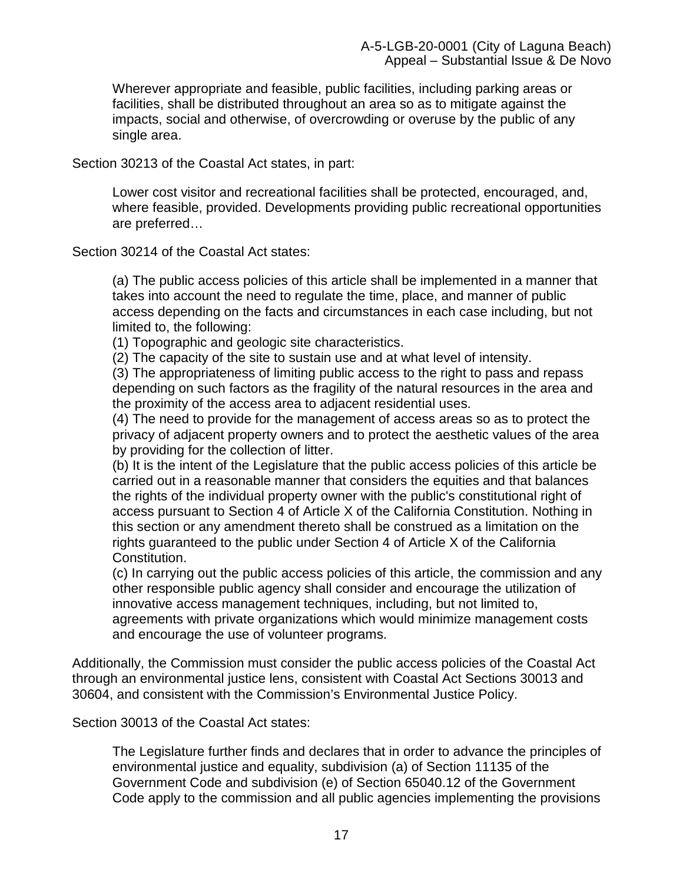Wherever appropriate and feasible, public facilities, including parking areas or facilities, shall be distributed throughout an area so as to mitigate against the impacts, social and otherwise, of overcrowding or overuse by the public of any single area.

Section 30213 of the Coastal Act states, in part:

Lower cost visitor and recreational facilities shall be protected, encouraged, and, where feasible, provided. Developments providing public recreational opportunities are preferred…

Section 30214 of the Coastal Act states:

(a) The public access policies of this article shall be implemented in a manner that takes into account the need to regulate the time, place, and manner of public access depending on the facts and circumstances in each case including, but not limited to, the following:

(1) Topographic and geologic site characteristics.

(2) The capacity of the site to sustain use and at what level of intensity.

(3) The appropriateness of limiting public access to the right to pass and repass depending on such factors as the fragility of the natural resources in the area and the proximity of the access area to adjacent residential uses.

(4) The need to provide for the management of access areas so as to protect the privacy of adjacent property owners and to protect the aesthetic values of the area by providing for the collection of litter.

(b) It is the intent of the Legislature that the public access policies of this article be carried out in a reasonable manner that considers the equities and that balances the rights of the individual property owner with the public's constitutional right of access pursuant to Section 4 of Article X of the California Constitution. Nothing in this section or any amendment thereto shall be construed as a limitation on the rights guaranteed to the public under Section 4 of Article X of the California Constitution.

(c) In carrying out the public access policies of this article, the commission and any other responsible public agency shall consider and encourage the utilization of innovative access management techniques, including, but not limited to, agreements with private organizations which would minimize management costs and encourage the use of volunteer programs.

Additionally, the Commission must consider the public access policies of the Coastal Act through an environmental justice lens, consistent with Coastal Act Sections 30013 and 30604, and consistent with the Commission's Environmental Justice Policy.

Section 30013 of the Coastal Act states:

The Legislature further finds and declares that in order to advance the principles of environmental justice and equality, subdivision (a) of Section 11135 of the Government Code and subdivision (e) of Section 65040.12 of the Government Code apply to the commission and all public agencies implementing the provisions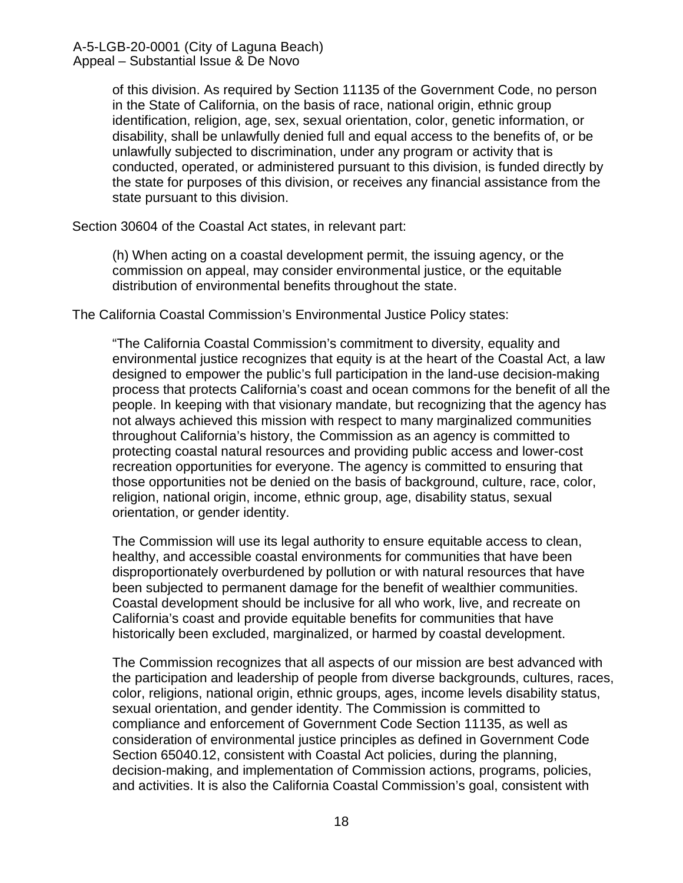of this division. As required by Section 11135 of the Government Code, no person in the State of California, on the basis of race, national origin, ethnic group identification, religion, age, sex, sexual orientation, color, genetic information, or disability, shall be unlawfully denied full and equal access to the benefits of, or be unlawfully subjected to discrimination, under any program or activity that is conducted, operated, or administered pursuant to this division, is funded directly by the state for purposes of this division, or receives any financial assistance from the state pursuant to this division.

Section 30604 of the Coastal Act states, in relevant part:

(h) When acting on a coastal development permit, the issuing agency, or the commission on appeal, may consider environmental justice, or the equitable distribution of environmental benefits throughout the state.

The California Coastal Commission's Environmental Justice Policy states:

"The California Coastal Commission's commitment to diversity, equality and environmental justice recognizes that equity is at the heart of the Coastal Act, a law designed to empower the public's full participation in the land-use decision-making process that protects California's coast and ocean commons for the benefit of all the people. In keeping with that visionary mandate, but recognizing that the agency has not always achieved this mission with respect to many marginalized communities throughout California's history, the Commission as an agency is committed to protecting coastal natural resources and providing public access and lower-cost recreation opportunities for everyone. The agency is committed to ensuring that those opportunities not be denied on the basis of background, culture, race, color, religion, national origin, income, ethnic group, age, disability status, sexual orientation, or gender identity.

The Commission will use its legal authority to ensure equitable access to clean, healthy, and accessible coastal environments for communities that have been disproportionately overburdened by pollution or with natural resources that have been subjected to permanent damage for the benefit of wealthier communities. Coastal development should be inclusive for all who work, live, and recreate on California's coast and provide equitable benefits for communities that have historically been excluded, marginalized, or harmed by coastal development.

The Commission recognizes that all aspects of our mission are best advanced with the participation and leadership of people from diverse backgrounds, cultures, races, color, religions, national origin, ethnic groups, ages, income levels disability status, sexual orientation, and gender identity. The Commission is committed to compliance and enforcement of Government Code Section 11135, as well as consideration of environmental justice principles as defined in Government Code Section 65040.12, consistent with Coastal Act policies, during the planning, decision-making, and implementation of Commission actions, programs, policies, and activities. It is also the California Coastal Commission's goal, consistent with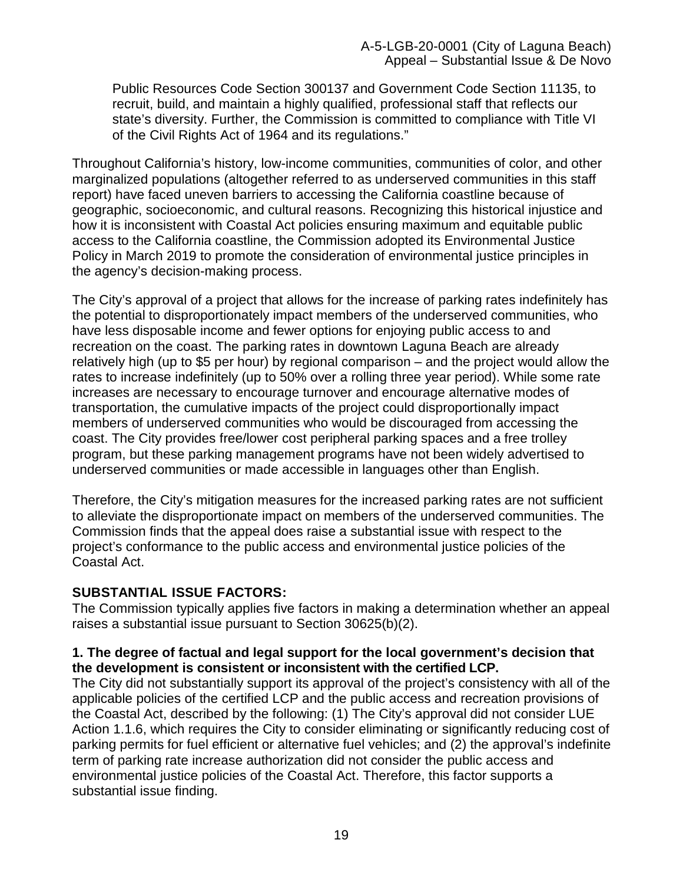Public Resources Code Section 300137 and Government Code Section 11135, to recruit, build, and maintain a highly qualified, professional staff that reflects our state's diversity. Further, the Commission is committed to compliance with Title VI of the Civil Rights Act of 1964 and its regulations."

Throughout California's history, low-income communities, communities of color, and other marginalized populations (altogether referred to as underserved communities in this staff report) have faced uneven barriers to accessing the California coastline because of geographic, socioeconomic, and cultural reasons. Recognizing this historical injustice and how it is inconsistent with Coastal Act policies ensuring maximum and equitable public access to the California coastline, the Commission adopted its Environmental Justice Policy in March 2019 to promote the consideration of environmental justice principles in the agency's decision-making process.

The City's approval of a project that allows for the increase of parking rates indefinitely has the potential to disproportionately impact members of the underserved communities, who have less disposable income and fewer options for enjoying public access to and recreation on the coast. The parking rates in downtown Laguna Beach are already relatively high (up to \$5 per hour) by regional comparison – and the project would allow the rates to increase indefinitely (up to 50% over a rolling three year period). While some rate increases are necessary to encourage turnover and encourage alternative modes of transportation, the cumulative impacts of the project could disproportionally impact members of underserved communities who would be discouraged from accessing the coast. The City provides free/lower cost peripheral parking spaces and a free trolley program, but these parking management programs have not been widely advertised to underserved communities or made accessible in languages other than English.

Therefore, the City's mitigation measures for the increased parking rates are not sufficient to alleviate the disproportionate impact on members of the underserved communities. The Commission finds that the appeal does raise a substantial issue with respect to the project's conformance to the public access and environmental justice policies of the Coastal Act.

## **SUBSTANTIAL ISSUE FACTORS:**

The Commission typically applies five factors in making a determination whether an appeal raises a substantial issue pursuant to Section 30625(b)(2).

#### **1. The degree of factual and legal support for the local government's decision that the development is consistent or inconsistent with the certified LCP.**

The City did not substantially support its approval of the project's consistency with all of the applicable policies of the certified LCP and the public access and recreation provisions of the Coastal Act, described by the following: (1) The City's approval did not consider LUE Action 1.1.6, which requires the City to consider eliminating or significantly reducing cost of parking permits for fuel efficient or alternative fuel vehicles; and (2) the approval's indefinite term of parking rate increase authorization did not consider the public access and environmental justice policies of the Coastal Act. Therefore, this factor supports a substantial issue finding.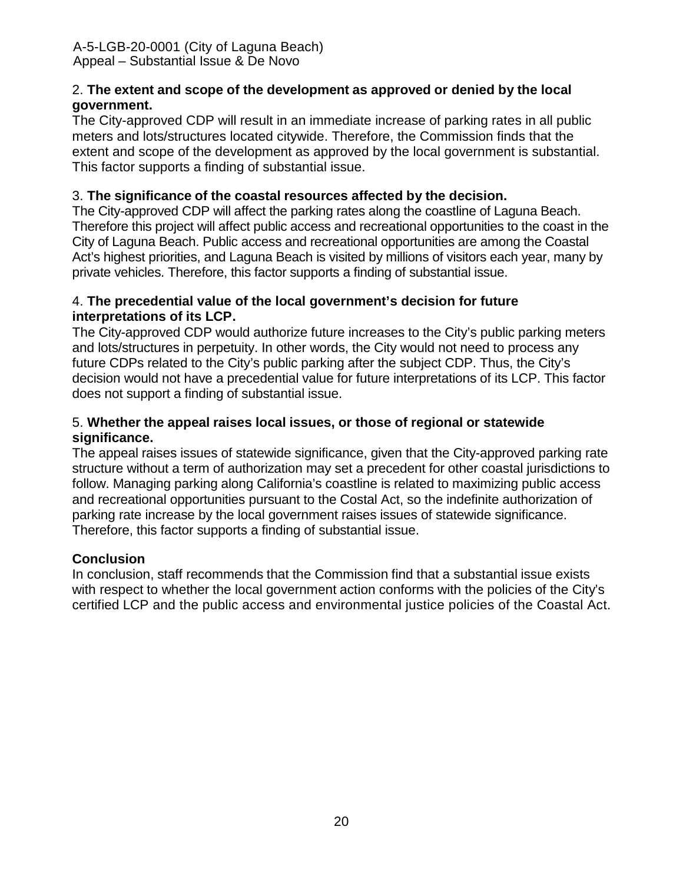## 2. **The extent and scope of the development as approved or denied by the local government.**

The City-approved CDP will result in an immediate increase of parking rates in all public meters and lots/structures located citywide. Therefore, the Commission finds that the extent and scope of the development as approved by the local government is substantial. This factor supports a finding of substantial issue.

# 3. **The significance of the coastal resources affected by the decision.**

The City-approved CDP will affect the parking rates along the coastline of Laguna Beach. Therefore this project will affect public access and recreational opportunities to the coast in the City of Laguna Beach. Public access and recreational opportunities are among the Coastal Act's highest priorities, and Laguna Beach is visited by millions of visitors each year, many by private vehicles. Therefore, this factor supports a finding of substantial issue.

## 4. **The precedential value of the local government's decision for future interpretations of its LCP.**

The City-approved CDP would authorize future increases to the City's public parking meters and lots/structures in perpetuity. In other words, the City would not need to process any future CDPs related to the City's public parking after the subject CDP. Thus, the City's decision would not have a precedential value for future interpretations of its LCP. This factor does not support a finding of substantial issue.

## 5. **Whether the appeal raises local issues, or those of regional or statewide significance.**

The appeal raises issues of statewide significance, given that the City-approved parking rate structure without a term of authorization may set a precedent for other coastal jurisdictions to follow. Managing parking along California's coastline is related to maximizing public access and recreational opportunities pursuant to the Costal Act, so the indefinite authorization of parking rate increase by the local government raises issues of statewide significance. Therefore, this factor supports a finding of substantial issue.

## **Conclusion**

In conclusion, staff recommends that the Commission find that a substantial issue exists with respect to whether the local government action conforms with the policies of the City's certified LCP and the public access and environmental justice policies of the Coastal Act.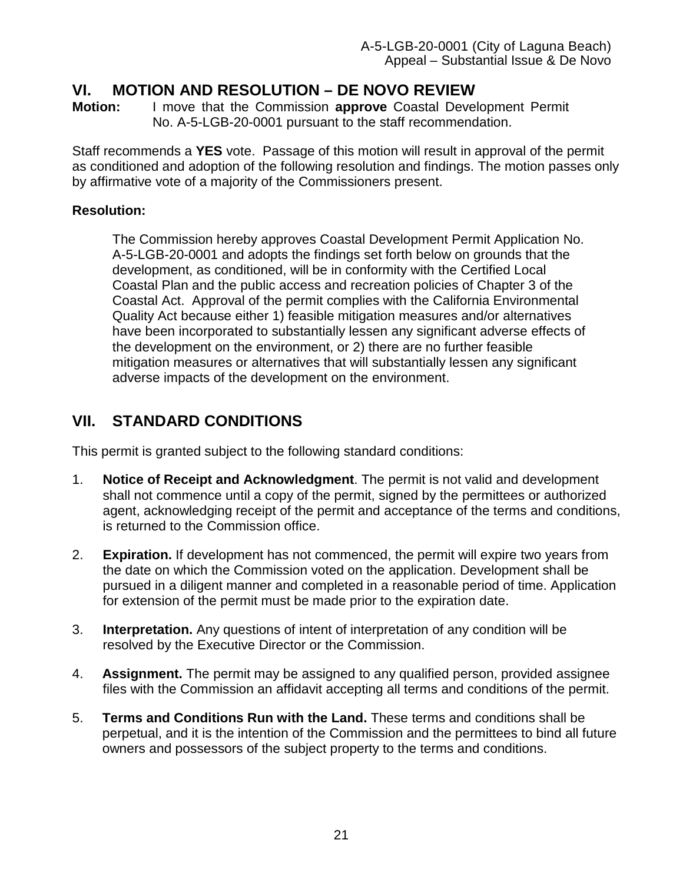# <span id="page-20-0"></span>**VI. MOTION AND RESOLUTION – DE NOVO REVIEW**<br>Motion: I move that the Commission approve Coastal Devel

**Motion:** I move that the Commission **approve** Coastal Development Permit No. A-5-LGB-20-0001 pursuant to the staff recommendation.

Staff recommends a **YES** vote. Passage of this motion will result in approval of the permit as conditioned and adoption of the following resolution and findings. The motion passes only by affirmative vote of a majority of the Commissioners present.

# **Resolution:**

The Commission hereby approves Coastal Development Permit Application No. A-5-LGB-20-0001 and adopts the findings set forth below on grounds that the development, as conditioned, will be in conformity with the Certified Local Coastal Plan and the public access and recreation policies of Chapter 3 of the Coastal Act. Approval of the permit complies with the California Environmental Quality Act because either 1) feasible mitigation measures and/or alternatives have been incorporated to substantially lessen any significant adverse effects of the development on the environment, or 2) there are no further feasible mitigation measures or alternatives that will substantially lessen any significant adverse impacts of the development on the environment.

# <span id="page-20-1"></span>**VII. STANDARD CONDITIONS**

This permit is granted subject to the following standard conditions:

- 1. **Notice of Receipt and Acknowledgment**. The permit is not valid and development shall not commence until a copy of the permit, signed by the permittees or authorized agent, acknowledging receipt of the permit and acceptance of the terms and conditions, is returned to the Commission office.
- 2. **Expiration.** If development has not commenced, the permit will expire two years from the date on which the Commission voted on the application. Development shall be pursued in a diligent manner and completed in a reasonable period of time. Application for extension of the permit must be made prior to the expiration date.
- 3. **Interpretation.** Any questions of intent of interpretation of any condition will be resolved by the Executive Director or the Commission.
- 4. **Assignment.** The permit may be assigned to any qualified person, provided assignee files with the Commission an affidavit accepting all terms and conditions of the permit.
- 5. **Terms and Conditions Run with the Land.** These terms and conditions shall be perpetual, and it is the intention of the Commission and the permittees to bind all future owners and possessors of the subject property to the terms and conditions.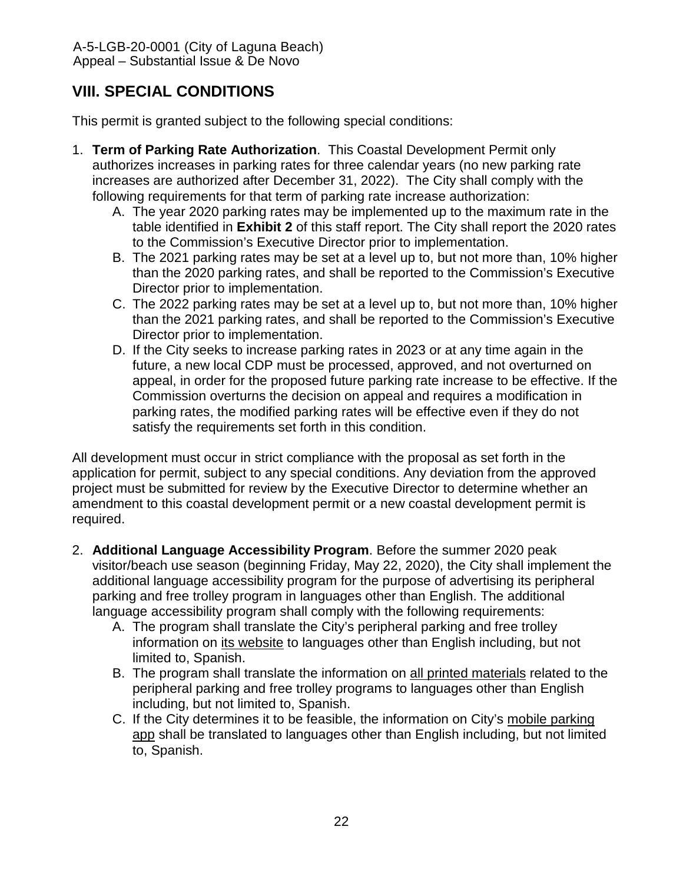# <span id="page-21-0"></span>**VIII. SPECIAL CONDITIONS**

This permit is granted subject to the following special conditions:

- 1. **Term of Parking Rate Authorization**. This Coastal Development Permit only authorizes increases in parking rates for three calendar years (no new parking rate increases are authorized after December 31, 2022). The City shall comply with the following requirements for that term of parking rate increase authorization:
	- A. The year 2020 parking rates may be implemented up to the maximum rate in the table identified in **[Exhibit 2](https://documents.coastal.ca.gov/reports/2020/3/th11b/th11b-3-2020-exhibits.pdf)** of this staff report. The City shall report the 2020 rates to the Commission's Executive Director prior to implementation.
	- B. The 2021 parking rates may be set at a level up to, but not more than, 10% higher than the 2020 parking rates, and shall be reported to the Commission's Executive Director prior to implementation.
	- C. The 2022 parking rates may be set at a level up to, but not more than, 10% higher than the 2021 parking rates, and shall be reported to the Commission's Executive Director prior to implementation.
	- D. If the City seeks to increase parking rates in 2023 or at any time again in the future, a new local CDP must be processed, approved, and not overturned on appeal, in order for the proposed future parking rate increase to be effective. If the Commission overturns the decision on appeal and requires a modification in parking rates, the modified parking rates will be effective even if they do not satisfy the requirements set forth in this condition.

All development must occur in strict compliance with the proposal as set forth in the application for permit, subject to any special conditions. Any deviation from the approved project must be submitted for review by the Executive Director to determine whether an amendment to this coastal development permit or a new coastal development permit is required.

- 2. **Additional Language Accessibility Program**. Before the summer 2020 peak visitor/beach use season (beginning Friday, May 22, 2020), the City shall implement the additional language accessibility program for the purpose of advertising its peripheral parking and free trolley program in languages other than English. The additional language accessibility program shall comply with the following requirements:
	- A. The program shall translate the City's peripheral parking and free trolley information on its website to languages other than English including, but not limited to, Spanish.
	- B. The program shall translate the information on all printed materials related to the peripheral parking and free trolley programs to languages other than English including, but not limited to, Spanish.
	- C. If the City determines it to be feasible, the information on City's mobile parking app shall be translated to languages other than English including, but not limited to, Spanish.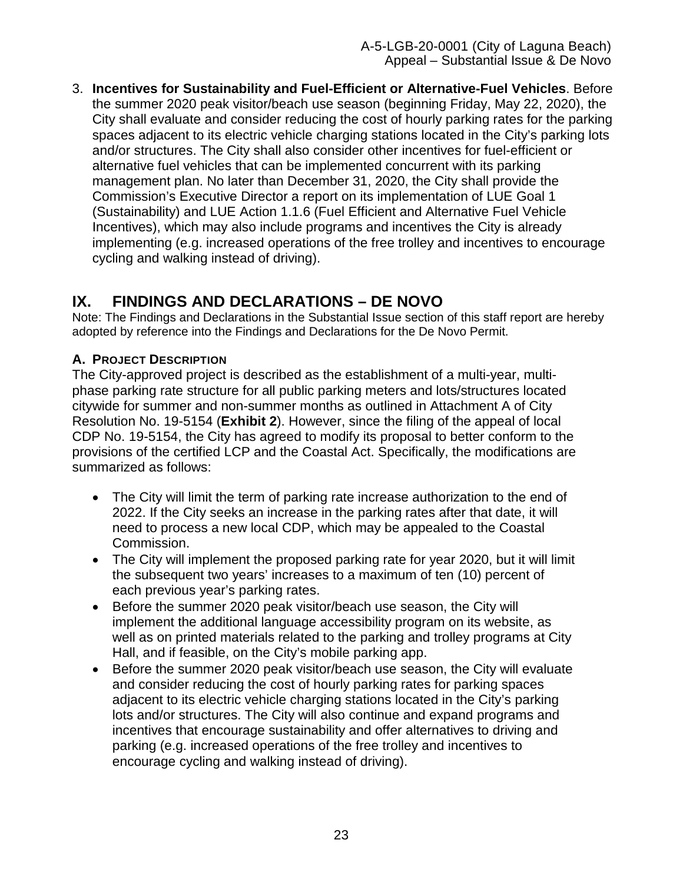3. **Incentives for Sustainability and Fuel-Efficient or Alternative-Fuel Vehicles**. Before the summer 2020 peak visitor/beach use season (beginning Friday, May 22, 2020), the City shall evaluate and consider reducing the cost of hourly parking rates for the parking spaces adjacent to its electric vehicle charging stations located in the City's parking lots and/or structures. The City shall also consider other incentives for fuel-efficient or alternative fuel vehicles that can be implemented concurrent with its parking management plan. No later than December 31, 2020, the City shall provide the Commission's Executive Director a report on its implementation of LUE Goal 1 (Sustainability) and LUE Action 1.1.6 (Fuel Efficient and Alternative Fuel Vehicle Incentives), which may also include programs and incentives the City is already implementing (e.g. increased operations of the free trolley and incentives to encourage cycling and walking instead of driving).

# <span id="page-22-0"></span>**IX. FINDINGS AND DECLARATIONS – DE NOVO**

Note: The Findings and Declarations in the Substantial Issue section of this staff report are hereby adopted by reference into the Findings and Declarations for the De Novo Permit.

## <span id="page-22-1"></span>**A. PROJECT DESCRIPTION**

The City-approved project is described as the establishment of a multi-year, multiphase parking rate structure for all public parking meters and lots/structures located citywide for summer and non-summer months as outlined in Attachment A of City Resolution No. 19-5154 (**[Exhibit 2](https://documents.coastal.ca.gov/reports/2020/3/th11b/th11b-3-2020-exhibits.pdf)**). However, since the filing of the appeal of local CDP No. 19-5154, the City has agreed to modify its proposal to better conform to the provisions of the certified LCP and the Coastal Act. Specifically, the modifications are summarized as follows:

- The City will limit the term of parking rate increase authorization to the end of 2022. If the City seeks an increase in the parking rates after that date, it will need to process a new local CDP, which may be appealed to the Coastal Commission.
- The City will implement the proposed parking rate for year 2020, but it will limit the subsequent two years' increases to a maximum of ten (10) percent of each previous year's parking rates.
- Before the summer 2020 peak visitor/beach use season, the City will implement the additional language accessibility program on its website, as well as on printed materials related to the parking and trolley programs at City Hall, and if feasible, on the City's mobile parking app.
- Before the summer 2020 peak visitor/beach use season, the City will evaluate and consider reducing the cost of hourly parking rates for parking spaces adjacent to its electric vehicle charging stations located in the City's parking lots and/or structures. The City will also continue and expand programs and incentives that encourage sustainability and offer alternatives to driving and parking (e.g. increased operations of the free trolley and incentives to encourage cycling and walking instead of driving).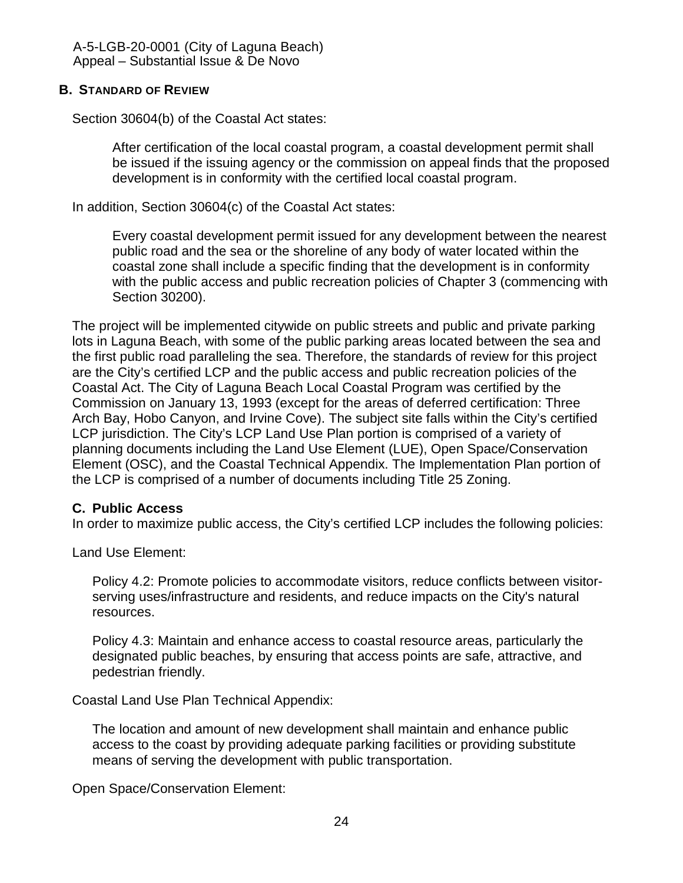#### <span id="page-23-0"></span>**B. STANDARD OF REVIEW**

Section 30604(b) of the Coastal Act states:

After certification of the local coastal program, a coastal development permit shall be issued if the issuing agency or the commission on appeal finds that the proposed development is in conformity with the certified local coastal program.

In addition, Section 30604(c) of the Coastal Act states:

Every coastal development permit issued for any development between the nearest public road and the sea or the shoreline of any body of water located within the coastal zone shall include a specific finding that the development is in conformity with the public access and public recreation policies of Chapter 3 (commencing with Section 30200).

The project will be implemented citywide on public streets and public and private parking lots in Laguna Beach, with some of the public parking areas located between the sea and the first public road paralleling the sea. Therefore, the standards of review for this project are the City's certified LCP and the public access and public recreation policies of the Coastal Act. The City of Laguna Beach Local Coastal Program was certified by the Commission on January 13, 1993 (except for the areas of deferred certification: Three Arch Bay, Hobo Canyon, and Irvine Cove). The subject site falls within the City's certified LCP jurisdiction. The City's LCP Land Use Plan portion is comprised of a variety of planning documents including the Land Use Element (LUE), Open Space/Conservation Element (OSC), and the Coastal Technical Appendix. The Implementation Plan portion of the LCP is comprised of a number of documents including Title 25 Zoning.

#### <span id="page-23-1"></span>**C. Public Access**

In order to maximize public access, the City's certified LCP includes the following policies:

Land Use Element:

Policy 4.2: Promote policies to accommodate visitors, reduce conflicts between visitorserving uses/infrastructure and residents, and reduce impacts on the City's natural resources.

Policy 4.3: Maintain and enhance access to coastal resource areas, particularly the designated public beaches, by ensuring that access points are safe, attractive, and pedestrian friendly.

Coastal Land Use Plan Technical Appendix:

The location and amount of new development shall maintain and enhance public access to the coast by providing adequate parking facilities or providing substitute means of serving the development with public transportation.

Open Space/Conservation Element: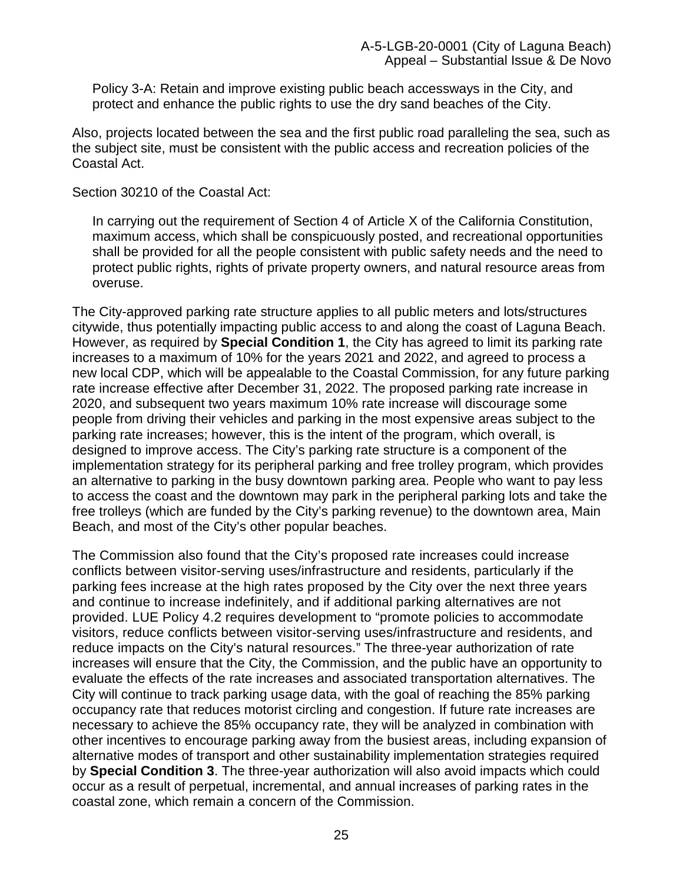Policy 3-A: Retain and improve existing public beach accessways in the City, and protect and enhance the public rights to use the dry sand beaches of the City.

Also, projects located between the sea and the first public road paralleling the sea, such as the subject site, must be consistent with the public access and recreation policies of the Coastal Act.

Section 30210 of the Coastal Act:

In carrying out the requirement of Section 4 of Article X of the California Constitution, maximum access, which shall be conspicuously posted, and recreational opportunities shall be provided for all the people consistent with public safety needs and the need to protect public rights, rights of private property owners, and natural resource areas from overuse.

The City-approved parking rate structure applies to all public meters and lots/structures citywide, thus potentially impacting public access to and along the coast of Laguna Beach. However, as required by **Special Condition 1**, the City has agreed to limit its parking rate increases to a maximum of 10% for the years 2021 and 2022, and agreed to process a new local CDP, which will be appealable to the Coastal Commission, for any future parking rate increase effective after December 31, 2022. The proposed parking rate increase in 2020, and subsequent two years maximum 10% rate increase will discourage some people from driving their vehicles and parking in the most expensive areas subject to the parking rate increases; however, this is the intent of the program, which overall, is designed to improve access. The City's parking rate structure is a component of the implementation strategy for its peripheral parking and free trolley program, which provides an alternative to parking in the busy downtown parking area. People who want to pay less to access the coast and the downtown may park in the peripheral parking lots and take the free trolleys (which are funded by the City's parking revenue) to the downtown area, Main Beach, and most of the City's other popular beaches.

The Commission also found that the City's proposed rate increases could increase conflicts between visitor-serving uses/infrastructure and residents, particularly if the parking fees increase at the high rates proposed by the City over the next three years and continue to increase indefinitely, and if additional parking alternatives are not provided. LUE Policy 4.2 requires development to "promote policies to accommodate visitors, reduce conflicts between visitor-serving uses/infrastructure and residents, and reduce impacts on the City's natural resources." The three-year authorization of rate increases will ensure that the City, the Commission, and the public have an opportunity to evaluate the effects of the rate increases and associated transportation alternatives. The City will continue to track parking usage data, with the goal of reaching the 85% parking occupancy rate that reduces motorist circling and congestion. If future rate increases are necessary to achieve the 85% occupancy rate, they will be analyzed in combination with other incentives to encourage parking away from the busiest areas, including expansion of alternative modes of transport and other sustainability implementation strategies required by **Special Condition 3**. The three-year authorization will also avoid impacts which could occur as a result of perpetual, incremental, and annual increases of parking rates in the coastal zone, which remain a concern of the Commission.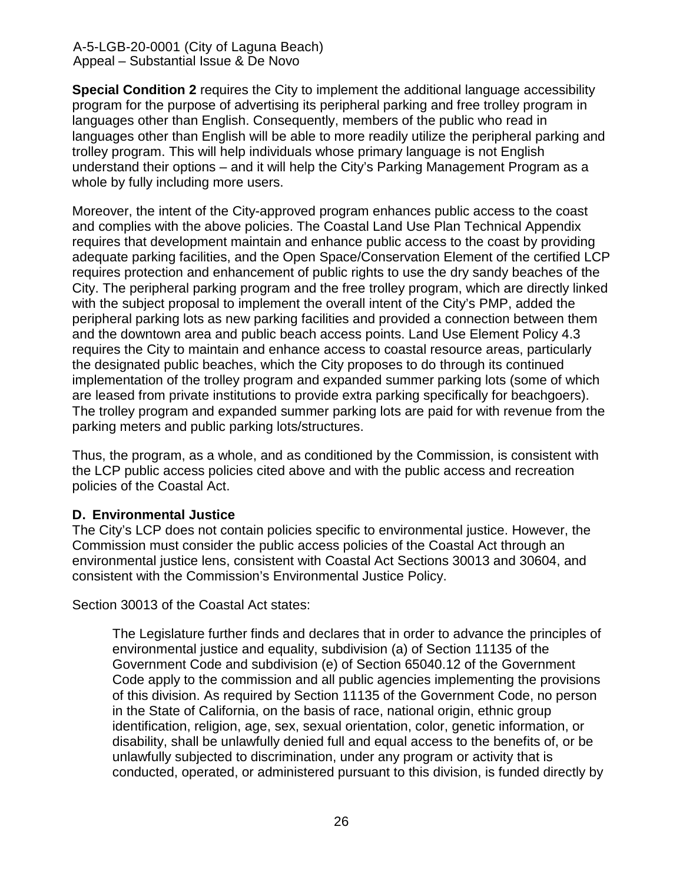**Special Condition 2** requires the City to implement the additional language accessibility program for the purpose of advertising its peripheral parking and free trolley program in languages other than English. Consequently, members of the public who read in languages other than English will be able to more readily utilize the peripheral parking and trolley program. This will help individuals whose primary language is not English understand their options – and it will help the City's Parking Management Program as a whole by fully including more users.

Moreover, the intent of the City-approved program enhances public access to the coast and complies with the above policies. The Coastal Land Use Plan Technical Appendix requires that development maintain and enhance public access to the coast by providing adequate parking facilities, and the Open Space/Conservation Element of the certified LCP requires protection and enhancement of public rights to use the dry sandy beaches of the City. The peripheral parking program and the free trolley program, which are directly linked with the subject proposal to implement the overall intent of the City's PMP, added the peripheral parking lots as new parking facilities and provided a connection between them and the downtown area and public beach access points. Land Use Element Policy 4.3 requires the City to maintain and enhance access to coastal resource areas, particularly the designated public beaches, which the City proposes to do through its continued implementation of the trolley program and expanded summer parking lots (some of which are leased from private institutions to provide extra parking specifically for beachgoers). The trolley program and expanded summer parking lots are paid for with revenue from the parking meters and public parking lots/structures.

Thus, the program, as a whole, and as conditioned by the Commission, is consistent with the LCP public access policies cited above and with the public access and recreation policies of the Coastal Act.

#### <span id="page-25-0"></span>**D. Environmental Justice**

The City's LCP does not contain policies specific to environmental justice. However, the Commission must consider the public access policies of the Coastal Act through an environmental justice lens, consistent with Coastal Act Sections 30013 and 30604, and consistent with the Commission's Environmental Justice Policy.

Section 30013 of the Coastal Act states:

The Legislature further finds and declares that in order to advance the principles of environmental justice and equality, subdivision (a) of Section 11135 of the Government Code and subdivision (e) of Section 65040.12 of the Government Code apply to the commission and all public agencies implementing the provisions of this division. As required by Section 11135 of the Government Code, no person in the State of California, on the basis of race, national origin, ethnic group identification, religion, age, sex, sexual orientation, color, genetic information, or disability, shall be unlawfully denied full and equal access to the benefits of, or be unlawfully subjected to discrimination, under any program or activity that is conducted, operated, or administered pursuant to this division, is funded directly by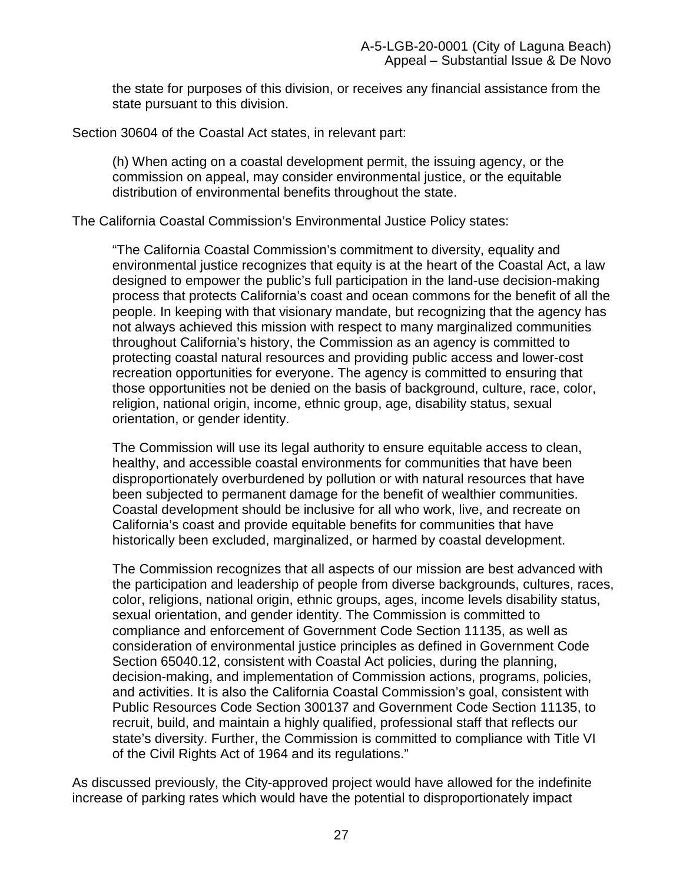the state for purposes of this division, or receives any financial assistance from the state pursuant to this division.

Section 30604 of the Coastal Act states, in relevant part:

(h) When acting on a coastal development permit, the issuing agency, or the commission on appeal, may consider environmental justice, or the equitable distribution of environmental benefits throughout the state.

The California Coastal Commission's Environmental Justice Policy states:

"The California Coastal Commission's commitment to diversity, equality and environmental justice recognizes that equity is at the heart of the Coastal Act, a law designed to empower the public's full participation in the land-use decision-making process that protects California's coast and ocean commons for the benefit of all the people. In keeping with that visionary mandate, but recognizing that the agency has not always achieved this mission with respect to many marginalized communities throughout California's history, the Commission as an agency is committed to protecting coastal natural resources and providing public access and lower-cost recreation opportunities for everyone. The agency is committed to ensuring that those opportunities not be denied on the basis of background, culture, race, color, religion, national origin, income, ethnic group, age, disability status, sexual orientation, or gender identity.

The Commission will use its legal authority to ensure equitable access to clean, healthy, and accessible coastal environments for communities that have been disproportionately overburdened by pollution or with natural resources that have been subjected to permanent damage for the benefit of wealthier communities. Coastal development should be inclusive for all who work, live, and recreate on California's coast and provide equitable benefits for communities that have historically been excluded, marginalized, or harmed by coastal development.

The Commission recognizes that all aspects of our mission are best advanced with the participation and leadership of people from diverse backgrounds, cultures, races, color, religions, national origin, ethnic groups, ages, income levels disability status, sexual orientation, and gender identity. The Commission is committed to compliance and enforcement of Government Code Section 11135, as well as consideration of environmental justice principles as defined in Government Code Section 65040.12, consistent with Coastal Act policies, during the planning, decision-making, and implementation of Commission actions, programs, policies, and activities. It is also the California Coastal Commission's goal, consistent with Public Resources Code Section 300137 and Government Code Section 11135, to recruit, build, and maintain a highly qualified, professional staff that reflects our state's diversity. Further, the Commission is committed to compliance with Title VI of the Civil Rights Act of 1964 and its regulations."

As discussed previously, the City-approved project would have allowed for the indefinite increase of parking rates which would have the potential to disproportionately impact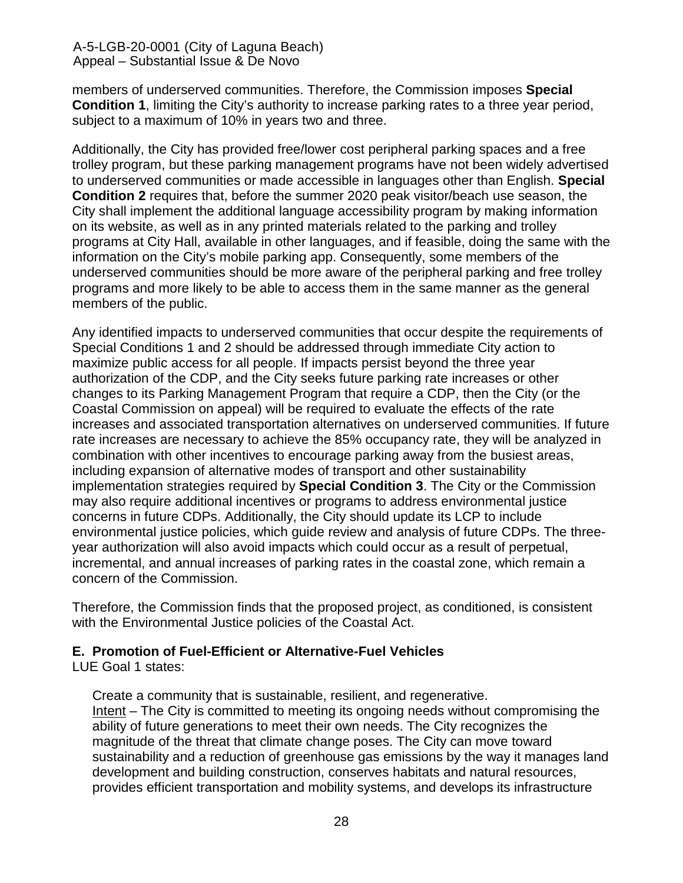members of underserved communities. Therefore, the Commission imposes **Special Condition 1**, limiting the City's authority to increase parking rates to a three year period, subject to a maximum of 10% in years two and three.

Additionally, the City has provided free/lower cost peripheral parking spaces and a free trolley program, but these parking management programs have not been widely advertised to underserved communities or made accessible in languages other than English. **Special Condition 2** requires that, before the summer 2020 peak visitor/beach use season, the City shall implement the additional language accessibility program by making information on its website, as well as in any printed materials related to the parking and trolley programs at City Hall, available in other languages, and if feasible, doing the same with the information on the City's mobile parking app. Consequently, some members of the underserved communities should be more aware of the peripheral parking and free trolley programs and more likely to be able to access them in the same manner as the general members of the public.

Any identified impacts to underserved communities that occur despite the requirements of Special Conditions 1 and 2 should be addressed through immediate City action to maximize public access for all people. If impacts persist beyond the three year authorization of the CDP, and the City seeks future parking rate increases or other changes to its Parking Management Program that require a CDP, then the City (or the Coastal Commission on appeal) will be required to evaluate the effects of the rate increases and associated transportation alternatives on underserved communities. If future rate increases are necessary to achieve the 85% occupancy rate, they will be analyzed in combination with other incentives to encourage parking away from the busiest areas, including expansion of alternative modes of transport and other sustainability implementation strategies required by **Special Condition 3**. The City or the Commission may also require additional incentives or programs to address environmental justice concerns in future CDPs. Additionally, the City should update its LCP to include environmental justice policies, which guide review and analysis of future CDPs. The threeyear authorization will also avoid impacts which could occur as a result of perpetual, incremental, and annual increases of parking rates in the coastal zone, which remain a concern of the Commission.

Therefore, the Commission finds that the proposed project, as conditioned, is consistent with the Environmental Justice policies of the Coastal Act.

## <span id="page-27-0"></span>**E. Promotion of Fuel-Efficient or Alternative-Fuel Vehicles**

LUE Goal 1 states:

Create a community that is sustainable, resilient, and regenerative. Intent – The City is committed to meeting its ongoing needs without compromising the ability of future generations to meet their own needs. The City recognizes the magnitude of the threat that climate change poses. The City can move toward sustainability and a reduction of greenhouse gas emissions by the way it manages land development and building construction, conserves habitats and natural resources, provides efficient transportation and mobility systems, and develops its infrastructure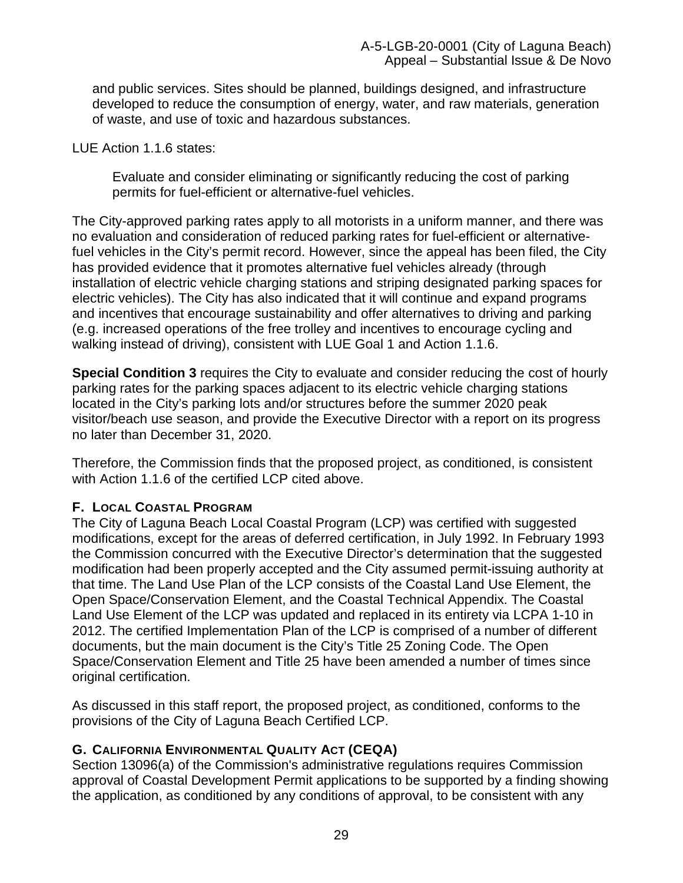and public services. Sites should be planned, buildings designed, and infrastructure developed to reduce the consumption of energy, water, and raw materials, generation of waste, and use of toxic and hazardous substances.

LUE Action 1.1.6 states:

Evaluate and consider eliminating or significantly reducing the cost of parking permits for fuel-efficient or alternative-fuel vehicles.

The City-approved parking rates apply to all motorists in a uniform manner, and there was no evaluation and consideration of reduced parking rates for fuel-efficient or alternativefuel vehicles in the City's permit record. However, since the appeal has been filed, the City has provided evidence that it promotes alternative fuel vehicles already (through installation of electric vehicle charging stations and striping designated parking spaces for electric vehicles). The City has also indicated that it will continue and expand programs and incentives that encourage sustainability and offer alternatives to driving and parking (e.g. increased operations of the free trolley and incentives to encourage cycling and walking instead of driving), consistent with LUE Goal 1 and Action 1.1.6.

**Special Condition 3** requires the City to evaluate and consider reducing the cost of hourly parking rates for the parking spaces adjacent to its electric vehicle charging stations located in the City's parking lots and/or structures before the summer 2020 peak visitor/beach use season, and provide the Executive Director with a report on its progress no later than December 31, 2020.

Therefore, the Commission finds that the proposed project, as conditioned, is consistent with Action 1.1.6 of the certified LCP cited above.

## <span id="page-28-0"></span>**F. LOCAL COASTAL PROGRAM**

The City of Laguna Beach Local Coastal Program (LCP) was certified with suggested modifications, except for the areas of deferred certification, in July 1992. In February 1993 the Commission concurred with the Executive Director's determination that the suggested modification had been properly accepted and the City assumed permit-issuing authority at that time. The Land Use Plan of the LCP consists of the Coastal Land Use Element, the Open Space/Conservation Element, and the Coastal Technical Appendix. The Coastal Land Use Element of the LCP was updated and replaced in its entirety via LCPA 1-10 in 2012. The certified Implementation Plan of the LCP is comprised of a number of different documents, but the main document is the City's Title 25 Zoning Code. The Open Space/Conservation Element and Title 25 have been amended a number of times since original certification.

As discussed in this staff report, the proposed project, as conditioned, conforms to the provisions of the City of Laguna Beach Certified LCP.

## <span id="page-28-1"></span>**G. CALIFORNIA ENVIRONMENTAL QUALITY ACT (CEQA)**

Section 13096(a) of the Commission's administrative regulations requires Commission approval of Coastal Development Permit applications to be supported by a finding showing the application, as conditioned by any conditions of approval, to be consistent with any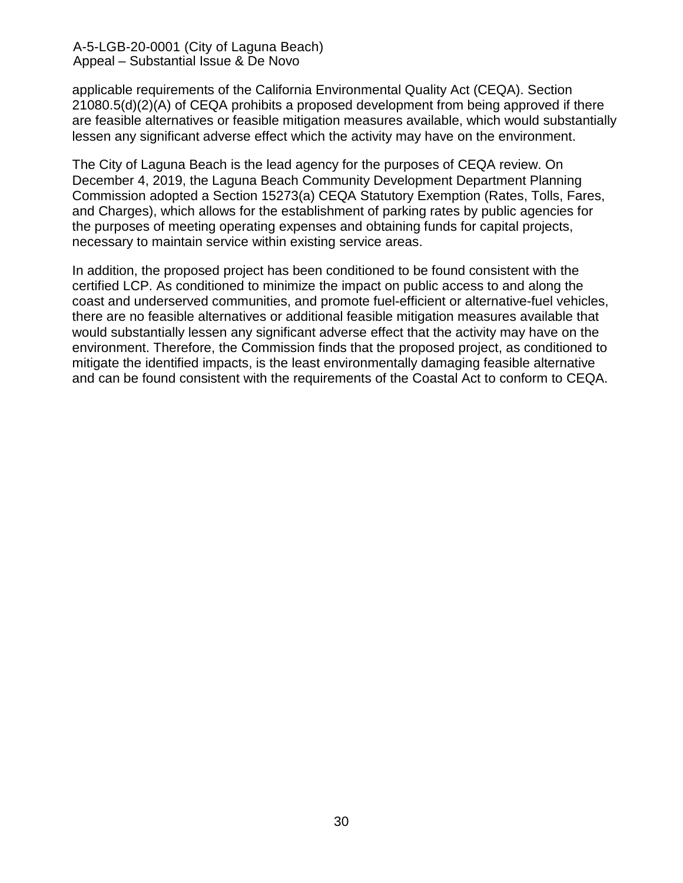applicable requirements of the California Environmental Quality Act (CEQA). Section 21080.5(d)(2)(A) of CEQA prohibits a proposed development from being approved if there are feasible alternatives or feasible mitigation measures available, which would substantially lessen any significant adverse effect which the activity may have on the environment.

The City of Laguna Beach is the lead agency for the purposes of CEQA review. On December 4, 2019, the Laguna Beach Community Development Department Planning Commission adopted a Section 15273(a) CEQA Statutory Exemption (Rates, Tolls, Fares, and Charges), which allows for the establishment of parking rates by public agencies for the purposes of meeting operating expenses and obtaining funds for capital projects, necessary to maintain service within existing service areas.

In addition, the proposed project has been conditioned to be found consistent with the certified LCP. As conditioned to minimize the impact on public access to and along the coast and underserved communities, and promote fuel-efficient or alternative-fuel vehicles, there are no feasible alternatives or additional feasible mitigation measures available that would substantially lessen any significant adverse effect that the activity may have on the environment. Therefore, the Commission finds that the proposed project, as conditioned to mitigate the identified impacts, is the least environmentally damaging feasible alternative and can be found consistent with the requirements of the Coastal Act to conform to CEQA.